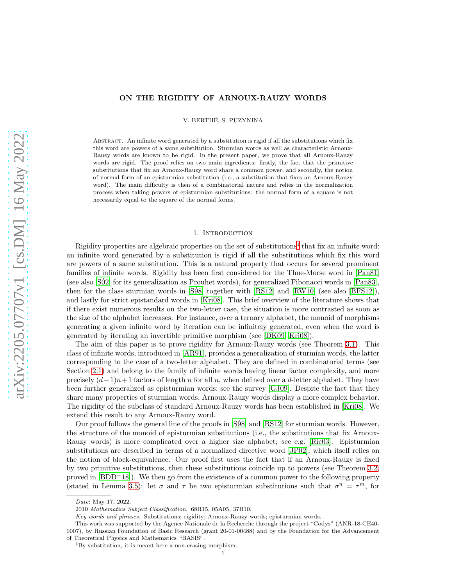# ON THE RIGIDITY OF ARNOUX-RAUZY WORDS

V. BERTHE, S. PUZYNINA ´

Abstract. An infinite word generated by a substitution is rigid if all the substitutions which fix this word are powers of a same substitution. Sturmian words as well as characteristic Arnoux-Rauzy words are known to be rigid. In the present paper, we prove that all Arnoux-Rauzy words are rigid. The proof relies on two main ingredients: firstly, the fact that the primitive substitutions that fix an Arnoux-Rauzy word share a common power, and secondly, the notion of normal form of an episturmian substitution (i.e., a substitution that fixes an Arnoux-Rauzy word). The main difficulty is then of a combinatorial nature and relies in the normalization process when taking powers of episturmian substitutions: the normal form of a square is not necessarily equal to the square of the normal forms.

### 1. INTRODUCTION

Rigidity properties are algebraic properties on the set of substitutions<sup>[1](#page-0-0)</sup> that fix an infinite word: an infinite word generated by a substitution is rigid if all the substitutions which fix this word are powers of a same substitution. This is a natural property that occurs for several prominent families of infinite words. Rigidity has been first considered for the Thue-Morse word in [\[Pan81\]](#page-28-0) (see also [\[S´02\]](#page-28-1) for its generalization as Prouhet words), for generalized Fibonacci words in [\[Pan83\]](#page-28-2), then for the class sturmian words in  $[S98]$  together with  $[RS12]$  and  $[RW10]$  (see also  $[BFS12]$ ), and lastly for strict epistandard words in [\[Kri08\]](#page-28-7). This brief overview of the literature shows that if there exist numerous results on the two-letter case, the situation is more contrasted as soon as the size of the alphabet increases. For instance, over a ternary alphabet, the monoid of morphisms generating a given infinite word by iteration can be infinitely generated, even when the word is generated by iterating an invertible primitive morphism (see [\[DK09,](#page-28-8) [Kri08\]](#page-28-7)).

The aim of this paper is to prove rigidity for Arnoux-Rauzy words (see Theorem [3.1\)](#page-4-0). This class of infinite words, introduced in [\[AR91\]](#page-28-9), provides a generalization of sturmian words, the latter corresponding to the case of a two-letter alphabet. They are defined in combinatorial terms (see Section [2.1\)](#page-1-0) and belong to the family of infinite words having linear factor complexity, and more precisely  $(d-1)n+1$  factors of length n for all n, when defined over a d-letter alphabet. They have been further generalized as episturmian words; see the survey [\[GJ09\]](#page-28-10). Despite the fact that they share many properties of sturmian words, Arnoux-Rauzy words display a more complex behavior. The rigidity of the subclass of standard Arnoux-Rauzy words has been established in [\[Kri08\]](#page-28-7). We extend this result to any Arnoux-Rauzy word.

Our proof follows the general line of the proofs in [\[S´98\]](#page-28-3) and [\[RS12\]](#page-28-4) for sturmian words. However, the structure of the monoid of episturmian substitutions (i.e., the substitutions that fix Arnoux-Rauzy words) is more complicated over a higher size alphabet; see e.g. [\[Ric03\]](#page-28-11). Episturmian substitutions are described in terms of a normalized directive word [\[JP02\]](#page-28-12), which itself relies on the notion of block-equivalence. Our proof first uses the fact that if an Arnoux-Rauzy is fixed by two primitive substitutions, then these substitutions coincide up to powers (see Theorem [3.2,](#page-4-1) proved in  $[BDD^+18]$ . We then go from the existence of a common power to the following property (stated in Lemma [3.5\)](#page-5-0): let  $\sigma$  and  $\tau$  be two episturmian substitutions such that  $\sigma^n = \tau^m$ , for

*Date*: May 17, 2022.

<sup>2010</sup> *Mathematics Subject Classification.* 68R15, 05A05, 37B10.

*Key words and phrases.* Substitutions; rigidity; Arnoux-Rauzy words; episturmian words.

This work was supported by the Agence Nationale de la Recherche through the project "Codys" (ANR-18-CE40- 0007), by Russian Foundation of Basic Research (grant 20-01-00488) and by the Foundation for the Advancement of Theoretical Physics and Mathematics "BASIS".

<span id="page-0-0"></span><sup>1</sup>By substitution, it is meant here a non-erasing morphism.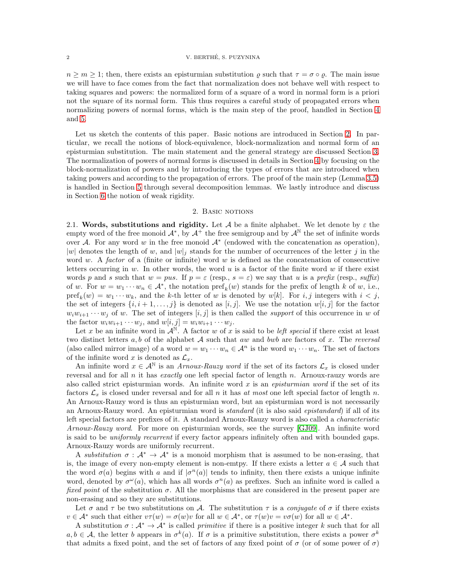$n \geq m \geq 1$ ; then, there exists an episturmian substitution  $\varrho$  such that  $\tau = \sigma \circ \varrho$ . The main issue we will have to face comes from the fact that normalization does not behave well with respect to taking squares and powers: the normalized form of a square of a word in normal form is a priori not the square of its normal form. This thus requires a careful study of propagated errors when normalizing powers of normal forms, which is the main step of the proof, handled in Section [4](#page-6-0) and [5.](#page-16-0)

Let us sketch the contents of this paper. Basic notions are introduced in Section [2.](#page-1-1) In particular, we recall the notions of block-equivalence, block-normalization and normal form of an episturmian substitution. The main statement and the general strategy are discussed Section [3.](#page-4-2) The normalization of powers of normal forms is discussed in details in Section [4](#page-6-0) by focusing on the block-normalization of powers and by introducing the types of errors that are introduced when taking powers and according to the propagation of errors. The proof of the main step (Lemma [3.5\)](#page-5-0) is handled in Section [5](#page-16-0) through several decomposition lemmas. We lastly introduce and discuss in Section [6](#page-24-0) the notion of weak rigidity.

### 2. BASIC NOTIONS

<span id="page-1-1"></span><span id="page-1-0"></span>2.1. Words, substitutions and rigidity. Let A be a finite alphabet. We let denote by  $\varepsilon$  the empty word of the free monoid  $\mathcal{A}^*$ , by  $\mathcal{A}^+$  the free semigroup and by  $\mathcal{A}^{\mathbb{N}}$  the set of infinite words over  $A$ . For any word w in the free monoid  $A^*$  (endowed with the concatenation as operation), |w| denotes the length of w, and  $|w|_i$  stands for the number of occurrences of the letter j in the word w. A factor of a (finite or infinite) word w is defined as the concatenation of consecutive letters occurring in w. In other words, the word  $u$  is a factor of the finite word  $w$  if there exist words p and s such that  $w = pus$ . If  $p = \varepsilon$  (resp.,  $s = \varepsilon$ ) we say that u is a prefix (resp., suffix) of w. For  $w = w_1 \cdots w_n \in A^*$ , the notation  $\text{pref}_k(w)$  stands for the prefix of length k of w, i.e.,  $\text{pref}_k(w) = w_1 \cdots w_k$ , and the k-th letter of w is denoted by  $w[k]$ . For  $i, j$  integers with  $i < j$ , the set of integers  $\{i, i+1, \ldots, j\}$  is denoted as  $[i, j]$ . We use the notation  $w[i, j]$  for the factor  $w_iw_{i+1}\cdots w_j$  of w. The set of integers  $[i, j]$  is then called the *support* of this occurrence in w of the factor  $w_i w_{i+1} \cdots w_j$ , and  $w[i, j] = w_i w_{i+1} \cdots w_j$ .

Let x be an infinite word in  $A^{\mathbb{N}}$ . A factor w of x is said to be left special if there exist at least two distinct letters  $a, b$  of the alphabet A such that aw and bwb are factors of x. The reversal (also called mirror image) of a word  $w = w_1 \cdots w_n \in \mathcal{A}^n$  is the word  $w_1 \cdots w_n$ . The set of factors of the infinite word x is denoted as  $\mathcal{L}_x$ .

An infinite word  $x \in A^{\mathbb{N}}$  is an Arnoux-Rauzy word if the set of its factors  $\mathcal{L}_x$  is closed under reversal and for all  $n$  it has exactly one left special factor of length  $n$ . Arnoux-rauzy words are also called strict episturmian words. An infinite word x is an *episturmian word* if the set of its factors  $\mathcal{L}_x$  is closed under reversal and for all n it has at most one left special factor of length n. An Arnoux-Rauzy word is thus an episturmian word, but an episturmian word is not necessarily an Arnoux-Rauzy word. An episturmian word is *standard* (it is also said *epistandard*) if all of its left special factors are prefixes of it. A standard Arnoux-Rauzy word is also called a characteristic Arnoux-Rauzy word. For more on episturmian words, see the survey [\[GJ09\]](#page-28-10). An infinite word is said to be *uniformly recurrent* if every factor appears infinitely often and with bounded gaps. Arnoux-Rauzy words are uniformly recurrent.

A substitution  $\sigma : \mathcal{A}^* \to \mathcal{A}^*$  is a monoid morphism that is assumed to be non-erasing, that is, the image of every non-empty element is non-empty. If there exists a letter  $a \in \mathcal{A}$  such that the word  $\sigma(a)$  begins with a and if  $|\sigma^n(a)|$  tends to infinity, then there exists a unique infinite word, denoted by  $\sigma^{\omega}(a)$ , which has all words  $\sigma^{n}(a)$  as prefixes. Such an infinite word is called a fixed point of the substitution  $\sigma$ . All the morphisms that are considered in the present paper are non-erasing and so they are substitutions.

Let  $\sigma$  and  $\tau$  be two substitutions on A. The substitution  $\tau$  is a *conjugate* of  $\sigma$  if there exists  $v \in A^*$  such that either  $v\tau(w) = \sigma(w)v$  for all  $w \in A^*$ , or  $\tau(w)v = v\sigma(w)$  for all  $w \in A^*$ .

A substitution  $\sigma : \mathcal{A}^* \to \mathcal{A}^*$  is called *primitive* if there is a positive integer k such that for all  $a, b \in \mathcal{A}$ , the letter b appears in  $\sigma^k(a)$ . If  $\sigma$  is a primitive substitution, there exists a power  $\sigma^k$ that admits a fixed point, and the set of factors of any fixed point of  $\sigma$  (or of some power of  $\sigma$ )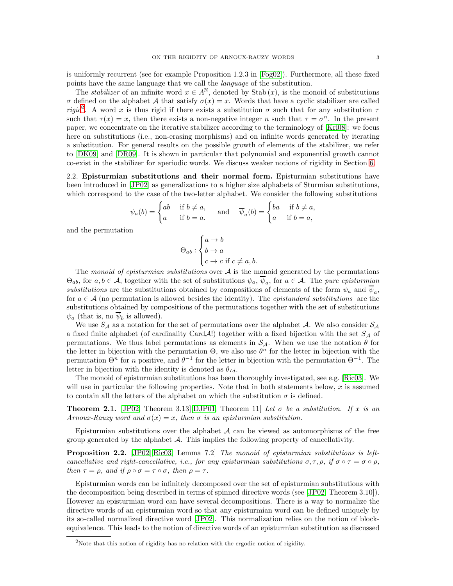is uniformly recurrent (see for example Proposition 1.2.3 in [\[Fog02\]](#page-28-14)). Furthermore, all these fixed points have the same language that we call the language of the substitution.

The *stabilizer* of an infinite word  $x \in A^{\mathbb{N}}$ , denoted by Stab  $(x)$ , is the monoid of substitutions σ defined on the alphabet A that satisfy  $σ(x) = x$ . Words that have a cyclic stabilizer are called rigid<sup>[2](#page-2-0)</sup>. A word x is thus rigid if there exists a substitution  $\sigma$  such that for any substitution  $\tau$ such that  $\tau(x) = x$ , then there exists a non-negative integer n such that  $\tau = \sigma^n$ . In the present paper, we concentrate on the iterative stabilizer according to the terminology of [\[Kri08\]](#page-28-7): we focus here on substitutions (i.e., non-erasing morphisms) and on infinite words generated by iterating a substitution. For general results on the possible growth of elements of the stabilizer, we refer to [\[DK09\]](#page-28-8) and [\[DR09\]](#page-28-15). It is shown in particular that polynomial and exponential growth cannot co-exist in the stabilizer for aperiodic words. We discuss weaker notions of rigidity in Section [6.](#page-24-0)

<span id="page-2-3"></span>2.2. Episturmian substitutions and their normal form. Episturmian substitutions have been introduced in [\[JP02\]](#page-28-12) as generalizations to a higher size alphabets of Sturmian substitutions, which correspond to the case of the two-letter alphabet. We consider the following substitutions

$$
\psi_a(b) = \begin{cases} ab & \text{if } b \neq a, \\ a & \text{if } b = a. \end{cases} \quad \text{and} \quad \overline{\psi}_a(b) = \begin{cases} ba & \text{if } b \neq a, \\ a & \text{if } b = a, \end{cases}
$$

and the permutation

$$
\Theta_{ab} : \begin{cases} a \to b \\ b \to a \\ c \to c \text{ if } c \neq a, b. \end{cases}
$$

The monoid of episturmian substitutions over  $A$  is the monoid generated by the permutations  $\Theta_{ab}$ , for  $a, b \in \mathcal{A}$ , together with the set of substitutions  $\psi_a, \psi_a$ , for  $a \in \mathcal{A}$ . The pure episturmian substitutions are the substitutions obtained by compositions of elements of the form  $\psi_a$  and  $\psi_a$ , for  $a \in \mathcal{A}$  (no permutation is allowed besides the identity). The *epistandard substitutions* are the substitutions obtained by compositions of the permutations together with the set of substitutions  $\psi_a$  (that is, no  $\psi_b$  is allowed).

We use  $S_A$  as a notation for the set of permutations over the alphabet A. We also consider  $S_A$ a fixed finite alphabet (of cardinality Card  $\mathcal{A}$ !) together with a fixed bijection with the set  $S_A$  of permutations. We thus label permutations as elements in  $S_A$ . When we use the notation  $\theta$  for the letter in bijection with the permutation  $\Theta$ , we also use  $\theta^n$  for the letter in bijection with the permutation  $\Theta^n$  for n positive, and  $\theta^{-1}$  for the letter in bijection with the permutation  $\Theta^{-1}$ . The letter in bijection with the identity is denoted as  $\theta_{Id}$ .

The monoid of episturmian substitutions has been thoroughly investigated, see e.g. [\[Ric03\]](#page-28-11). We will use in particular the following properties. Note that in both statements below,  $x$  is assumed to contain all the letters of the alphabet on which the substitution  $\sigma$  is defined.

<span id="page-2-1"></span>**Theorem 2.1.** [\[JP02,](#page-28-12) Theorem 3.13][\[DJP01,](#page-28-16) Theorem 11] Let  $\sigma$  be a substitution. If x is an Arnoux-Rauzy word and  $\sigma(x) = x$ , then  $\sigma$  is an episturmian substitution.

Episturmian substitutions over the alphabet  $A$  can be viewed as automorphisms of the free group generated by the alphabet  $A$ . This implies the following property of cancellativity.

<span id="page-2-2"></span>**Proposition 2.2.** [\[JP02\]](#page-28-12)[\[Ric03,](#page-28-11) Lemma 7.2] The monoid of episturmian substitutions is leftcancellative and right-cancellative, i.e., for any episturmian substitutions  $\sigma, \tau, \rho$ , if  $\sigma \circ \tau = \sigma \circ \rho$ , then  $\tau = \rho$ , and if  $\rho \circ \sigma = \tau \circ \sigma$ , then  $\rho = \tau$ .

Episturmian words can be infinitely decomposed over the set of episturmian substitutions with the decomposition being described in terms of spinned directive words (see [\[JP02,](#page-28-12) Theorem 3.10]). However an episturmian word can have several decompositions. There is a way to normalize the directive words of an episturmian word so that any episturmian word can be defined uniquely by its so-called normalized directive word [\[JP02\]](#page-28-12). This normalization relies on the notion of blockequivalence. This leads to the notion of directive words of an episturmian substitution as discussed

<span id="page-2-0"></span><sup>&</sup>lt;sup>2</sup>Note that this notion of rigidity has no relation with the ergodic notion of rigidity.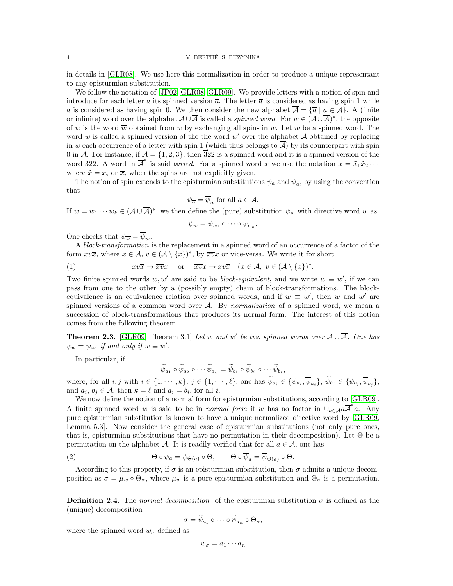in details in [\[GLR08\]](#page-28-17). We use here this normalization in order to produce a unique representant to any episturmian substitution.

We follow the notation of [\[JP02,](#page-28-12) [GLR08,](#page-28-17) [GLR09\]](#page-28-18). We provide letters with a notion of spin and introduce for each letter a its spinned version  $\overline{a}$ . The letter  $\overline{a}$  is considered as having spin 1 while a is considered as having spin 0. We then consider the new alphabet  $\overline{A} = {\overline{a} \mid a \in A}$ . A (finite or infinite) word over the alphabet  $\mathcal{A} \cup \overline{\mathcal{A}}$  is called a *spinned word*. For  $w \in (\mathcal{A} \cup \overline{\mathcal{A}})^*$ , the opposite of w is the word  $\overline{w}$  obtained from w by exchanging all spins in w. Let w be a spinned word. The word w is called a spinned version of the the word  $w'$  over the alphabet  $A$  obtained by replacing in w each occurrence of a letter with spin 1 (which thus belongs to  $\overline{A}$ ) by its counterpart with spin 0 in A. For instance, if  $A = \{1, 2, 3\}$ , then  $\overline{3}22$  is a spinned word and it is a spinned version of the word 322. A word in  $\overline{A}^*$  is said *barred*. For a spinned word x we use the notation  $x = \tilde{x}_1 \tilde{x}_2 \cdots$ where  $\tilde{x} = x_i$  or  $\overline{x}_i$  when the spins are not explicitly given.

The notion of spin extends to the episturmian substitutions  $\psi_a$  and  $\psi_a$ , by using the convention that

$$
\psi_{\overline{a}} = \overline{\psi}_a
$$
 for all  $a \in \mathcal{A}$ .

If  $w = w_1 \cdots w_k \in (A \cup \overline{A})^*$ , we then define the (pure) substitution  $\psi_w$  with directive word w as

$$
\psi_w = \psi_{w_1} \circ \cdots \circ \psi_{w_k}.
$$

One checks that  $\psi_{\overline{w}} = \overline{\psi}_w$ .

A block-transformation is the replacement in a spinned word of an occurrence of a factor of the form  $xv\overline{x}$ , where  $x \in \mathcal{A}$ ,  $v \in (\mathcal{A} \setminus \{x\})^*$ , by  $\overline{xv}x$  or vice-versa. We write it for short

(1) 
$$
xv\overline{x} \to \overline{x}v x
$$
 or  $\overline{x}v x \to xv \overline{x}$   $(x \in \mathcal{A}, v \in (\mathcal{A} \setminus \{x\})^*.$ 

Two finite spinned words  $w, w'$  are said to be *block-equivalent*, and we write  $w \equiv w'$ , if we can pass from one to the other by a (possibly empty) chain of block-transformations. The blockequivalence is an equivalence relation over spinned words, and if  $w \equiv w'$ , then w and w' are spinned versions of a common word over  $A$ . By normalization of a spinned word, we mean a succession of block-transformations that produces its normal form. The interest of this notion comes from the following theorem.

**Theorem 2.3.** [\[GLR09,](#page-28-18) Theorem 3.1] Let w and w' be two spinned words over  $A \cup \overline{A}$ . One has  $\psi_w = \psi_{w'}$  if and only if  $w \equiv w'$ .

In particular, if

$$
\widetilde{\psi}_{a_1} \circ \widetilde{\psi}_{a_2} \circ \cdots \widetilde{\psi}_{a_k} = \widetilde{\psi}_{b_1} \circ \widetilde{\psi}_{b_2} \circ \cdots \widetilde{\psi}_{b_\ell},
$$

where, for all  $i, j$  with  $i \in \{1, \dots, k\}$ ,  $j \in \{1, \dots, \ell\}$ , one has  $\psi_{a_i} \in \{\psi_{a_i}, \psi_{a_i}\}$ ,  $\psi_{b_j} \in \{\psi_{b_j}, \psi_{b_j}\}$ , and  $a_i, b_j \in \mathcal{A}$ , then  $k = \ell$  and  $a_i = b_i$ , for all i.

We now define the notion of a normal form for episturmian substitutions, according to [\[GLR09\]](#page-28-18). A finite spinned word w is said to be in *normal form* if w has no factor in  $\bigcup_{a\in\mathcal{A}}\overline{a}$  *a*. Any pure episturmian substitution is known to have a unique normalized directive word by [\[GLR09,](#page-28-18) Lemma 5.3]. Now consider the general case of episturmian substitutions (not only pure ones, that is, episturmian substitutions that have no permutation in their decomposition). Let  $\Theta$  be a permutation on the alphabet A. It is readily verified that for all  $a \in \mathcal{A}$ , one has

(2) 
$$
\Theta \circ \psi_a = \psi_{\Theta(a)} \circ \Theta, \qquad \Theta \circ \overline{\psi}_a = \overline{\psi}_{\Theta(a)} \circ \Theta.
$$

According to this property, if  $\sigma$  is an episturmian substitution, then  $\sigma$  admits a unique decomposition as  $\sigma = \mu_w \circ \Theta_{\sigma}$ , where  $\mu_w$  is a pure episturmian substitution and  $\Theta_{\sigma}$  is a permutation.

<span id="page-3-0"></span>**Definition 2.4.** The normal decomposition of the episturmian substitution  $\sigma$  is defined as the (unique) decomposition

<span id="page-3-1"></span>
$$
\sigma=\widetilde{\psi}_{a_1}\circ\cdots\circ\widetilde{\psi}_{a_n}\circ\Theta_{\sigma},
$$

where the spinned word  $w_{\sigma}$  defined as

 $w_{\sigma} = a_1 \cdots a_n$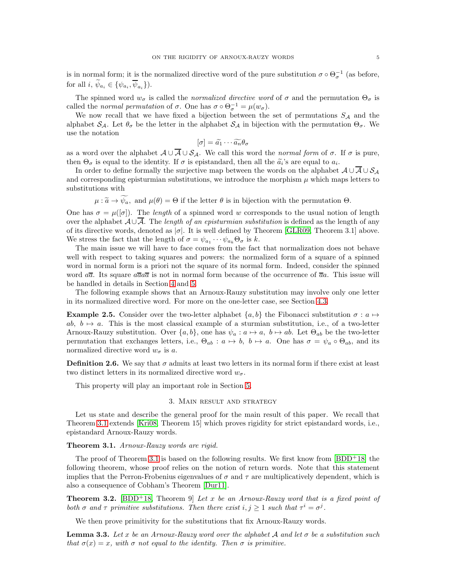is in normal form; it is the normalized directive word of the pure substitution  $\sigma \circ \Theta_{\sigma}^{-1}$  (as before, for all  $i, \psi_{a_i} \in {\psi_{a_i}, \psi_{a_i}}$ .

The spinned word  $w_{\sigma}$  is called the *normalized directive word* of  $\sigma$  and the permutation  $\Theta_{\sigma}$  is called the *normal permutation* of  $\sigma$ . One has  $\sigma \circ \Theta_{\sigma}^{-1} = \mu(w_{\sigma})$ .

We now recall that we have fixed a bijection between the set of permutations  $S_A$  and the alphabet  $S_A$ . Let  $\theta_{\sigma}$  be the letter in the alphabet  $S_A$  in bijection with the permutation  $\Theta_{\sigma}$ . We use the notation

$$
[\sigma] = \widetilde{a_1} \cdots \widetilde{a_n} \theta_\sigma
$$

as a word over the alphabet  $A \cup A \cup S_A$ . We call this word the normal form of  $\sigma$ . If  $\sigma$  is pure, then  $\Theta_{\sigma}$  is equal to the identity. If  $\sigma$  is epistandard, then all the  $\tilde{a}_i$ 's are equal to  $a_i$ .

In order to define formally the surjective map between the words on the alphabet  $A \cup \overline{A} \cup S_A$ and corresponding episturmian substitutions, we introduce the morphism  $\mu$  which maps letters to substitutions with

 $\mu : \tilde{a} \to \tilde{\psi}_a$ , and  $\mu(\theta) = \Theta$  if the letter  $\theta$  is in bijection with the permutation  $\Theta$ .

One has  $\sigma = \mu([\sigma])$ . The length of a spinned word w corresponds to the usual notion of length over the alphabet  $\mathcal{A} \cup \overline{\mathcal{A}}$ . The length of an episturmian substitution is defined as the length of any of its directive words, denoted as  $|\sigma|$ . It is well defined by Theorem [\[GLR09,](#page-28-18) Theorem 3.1] above. We stress the fact that the length of  $\sigma = \psi_{a_1} \cdots \psi_{a_k} \Theta_{\sigma}$  is k.

The main issue we will have to face comes from the fact that normalization does not behave well with respect to taking squares and powers: the normalized form of a square of a spinned word in normal form is a priori not the square of its normal form. Indeed, consider the spinned word  $a\bar{a}$ . Its square  $a\bar{a}a\bar{a}$  is not in normal form because of the occurrence of  $\bar{a}a$ . This issue will be handled in details in Section [4](#page-6-0) and [5.](#page-16-0)

The following example shows that an Arnoux-Rauzy substitution may involve only one letter in its normalized directive word. For more on the one-letter case, see Section [4.3.](#page-9-0)

**Example 2.5.** Consider over the two-letter alphabet  $\{a, b\}$  the Fibonacci substitution  $\sigma : a \mapsto$ ab,  $b \mapsto a$ . This is the most classical example of a sturmian substitution, i.e., of a two-letter Arnoux-Rauzy substitution. Over  $\{a, b\}$ , one has  $\psi_a : a \mapsto a, b \mapsto ab$ . Let  $\Theta_{ab}$  be the two-letter permutation that exchanges letters, i.e.,  $\Theta_{ab}$ :  $a \mapsto b$ ,  $b \mapsto a$ . One has  $\sigma = \psi_a \circ \Theta_{ab}$ , and its normalized directive word  $w_{\sigma}$  is a.

<span id="page-4-4"></span>**Definition 2.6.** We say that  $\sigma$  admits at least two letters in its normal form if there exist at least two distinct letters in its normalized directive word  $w_{\sigma}$ .

<span id="page-4-2"></span>This property will play an important role in Section [5.](#page-16-0)

## 3. Main result and strategy

Let us state and describe the general proof for the main result of this paper. We recall that Theorem [3.1](#page-4-0) extends [\[Kri08,](#page-28-7) Theorem 15] which proves rigidity for strict epistandard words, i.e., epistandard Arnoux-Rauzy words.

<span id="page-4-0"></span>Theorem 3.1. Arnoux-Rauzy words are rigid.

The proof of Theorem [3.1](#page-4-0) is based on the following results. We first know from  $[BDD<sup>+</sup>18]$  the following theorem, whose proof relies on the notion of return words. Note that this statement implies that the Perron-Frobenius eigenvalues of  $\sigma$  and  $\tau$  are multiplicatively dependent, which is also a consequence of Cobham's Theorem [\[Dur11\]](#page-28-19).

<span id="page-4-1"></span>**Theorem 3.2.** [\[BDD](#page-28-13)<sup>+</sup>18, Theorem 9] Let x be an Arnoux-Rauzy word that is a fixed point of both  $\sigma$  and  $\tau$  primitive substitutions. Then there exist  $i, j \geq 1$  such that  $\tau^i = \sigma^j$ .

We then prove primitivity for the substitutions that fix Arnoux-Rauzy words.

<span id="page-4-3"></span>**Lemma 3.3.** Let x be an Arnoux-Rauzy word over the alphabet A and let  $\sigma$  be a substitution such that  $\sigma(x) = x$ , with  $\sigma$  not equal to the identity. Then  $\sigma$  is primitive.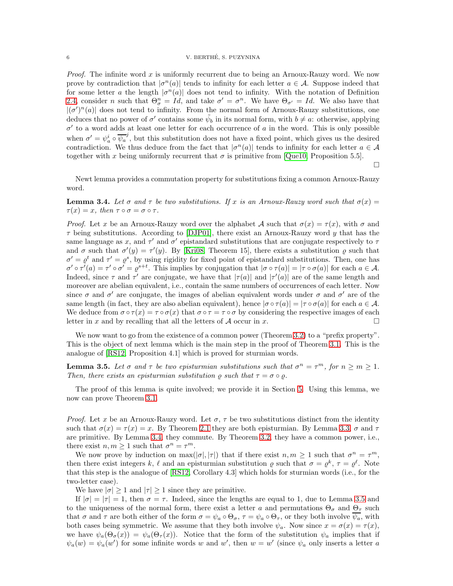## 6 V. BERTHE, S. PUZYNINA ´

*Proof.* The infinite word x is uniformly recurrent due to being an Arnoux-Rauzy word. We now prove by contradiction that  $|\sigma^n(a)|$  tends to infinity for each letter  $a \in \mathcal{A}$ . Suppose indeed that for some letter a the length  $|\sigma^n(a)|$  does not tend to infinity. With the notation of Definition [2.4,](#page-3-0) consider n such that  $\Theta_{\sigma}^{n} = Id$ , and take  $\sigma' = \sigma^{n}$ . We have  $\Theta_{\sigma'} = Id$ . We also have that  $|(\sigma')^n(a)|$  does not tend to infinity. From the normal form of Arnoux-Rauzy substitutions, one deduces that no power of  $\sigma'$  contains some  $\tilde{\psi}_b$  in its normal form, with  $b \neq a$ : otherwise, applying  $\sigma'$  to a word adds at least one letter for each occurrence of a in the word. This is only possible when  $\sigma' = \psi_a^i \circ \overline{\psi_a}^j$ , but this substitution does not have a fixed point, which gives us the desired contradiction. We thus deduce from the fact that  $|\sigma^n(a)|$  tends to infinity for each letter  $a \in \mathcal{A}$ together with x being uniformly recurrent that  $\sigma$  is primitive from [\[Que10,](#page-28-20) Proposition 5.5].

 $\Box$ 

Newt lemma provides a commutation property for substitutions fixing a common Arnoux-Rauzy word.

<span id="page-5-1"></span>**Lemma 3.4.** Let  $\sigma$  and  $\tau$  be two substitutions. If x is an Arnoux-Rauzy word such that  $\sigma(x)$  =  $\tau(x) = x$ , then  $\tau \circ \sigma = \sigma \circ \tau$ .

*Proof.* Let x be an Arnoux-Rauzy word over the alphabet A such that  $\sigma(x) = \tau(x)$ , with  $\sigma$  and  $\tau$  being substitutions. According to [\[DJP01\]](#page-28-16), there exist an Arnoux-Rauzy word y that has the same language as x, and  $\tau'$  and  $\sigma'$  epistandard substitutions that are conjugate respectively to  $\tau$ and  $\sigma$  such that  $\sigma'(y) = \tau'(y)$ . By [\[Kri08,](#page-28-7) Theorem 15], there exists a substitution  $\rho$  such that  $\sigma' = \varrho^t$  and  $\tau' = \varrho^s$ , by using rigidity for fixed point of epistandard substitutions. Then, one has  $\sigma' \circ \tau'(a) = \tau' \circ \sigma' = \varrho^{s+t}$ . This implies by conjugation that  $|\sigma \circ \tau(a)| = |\tau \circ \sigma(a)|$  for each  $a \in \mathcal{A}$ . Indeed, since  $\tau$  and  $\tau'$  are conjugate, we have that  $|\tau(a)|$  and  $|\tau'(a)|$  are of the same length and moreover are abelian equivalent, i.e., contain the same numbers of occurrences of each letter. Now since  $\sigma$  and  $\sigma'$  are conjugate, the images of abelian equivalent words under  $\sigma$  and  $\sigma'$  are of the same length (in fact, they are also abelian equivalent), hence  $|\sigma \circ \tau(a)| = |\tau \circ \sigma(a)|$  for each  $a \in \mathcal{A}$ . We deduce from  $\sigma \circ \tau(x) = \tau \circ \sigma(x)$  that  $\sigma \circ \tau = \tau \circ \sigma$  by considering the respective images of each letter in x and by recalling that all the letters of A occur in x.

We now want to go from the existence of a common power (Theorem [3.2\)](#page-4-1) to a "prefix property". This is the object of next lemma which is the main step in the proof of Theorem [3.1.](#page-4-0) This is the analogue of [\[RS12,](#page-28-4) Proposition 4.1] which is proved for sturmian words.

<span id="page-5-0"></span>**Lemma 3.5.** Let  $\sigma$  and  $\tau$  be two episturmian substitutions such that  $\sigma^n = \tau^m$ , for  $n \geq m \geq 1$ . Then, there exists an episturmian substitution  $\rho$  such that  $\tau = \sigma \circ \rho$ .

The proof of this lemma is quite involved; we provide it in Section [5.](#page-16-0) Using this lemma, we now can prove Theorem [3.1.](#page-4-0)

*Proof.* Let x be an Arnoux-Rauzy word. Let  $\sigma$ ,  $\tau$  be two substitutions distinct from the identity such that  $\sigma(x) = \tau(x) = x$ . By Theorem [2.1](#page-2-1) they are both episturmian. By Lemma [3.3,](#page-4-3)  $\sigma$  and  $\tau$ are primitive. By Lemma [3.4,](#page-5-1) they commute. By Theorem [3.2,](#page-4-1) they have a common power, i.e., there exist  $n, m \ge 1$  such that  $\sigma^n = \tau^m$ .

We now prove by induction on  $\max(|\sigma|, |\tau|)$  that if there exist  $n, m \ge 1$  such that  $\sigma^n = \tau^m$ , then there exist integers k,  $\ell$  and an episturmian substitution  $\varrho$  such that  $\sigma = \varrho^k$ ,  $\tau = \varrho^{\ell}$ . Note that this step is the analogue of [\[RS12,](#page-28-4) Corollary 4.3] which holds for sturmian words (i.e., for the two-letter case).

We have  $|\sigma| \geq 1$  and  $|\tau| \geq 1$  since they are primitive.

If  $|\sigma| = |\tau| = 1$ , then  $\sigma = \tau$ . Indeed, since the lengths are equal to 1, due to Lemma [3.5](#page-5-0) and to the uniqueness of the normal form, there exist a letter a and permutations  $\Theta_{\sigma}$  and  $\Theta_{\tau}$  such that  $\sigma$  and  $\tau$  are both either of the form  $\sigma = \psi_a \circ \Theta_\sigma$ ,  $\tau = \psi_a \circ \Theta_\tau$ , or they both involve  $\overline{\psi_a}$ , with both cases being symmetric. We assume that they both involve  $\psi_a$ . Now since  $x = \sigma(x) = \tau(x)$ , we have  $\psi_a(\Theta_\sigma(x)) = \psi_a(\Theta_\tau(x))$ . Notice that the form of the substitution  $\psi_a$  implies that if  $\psi_a(w) = \psi_a(w')$  for some infinite words w and w', then  $w = w'$  (since  $\psi_a$  only inserts a letter a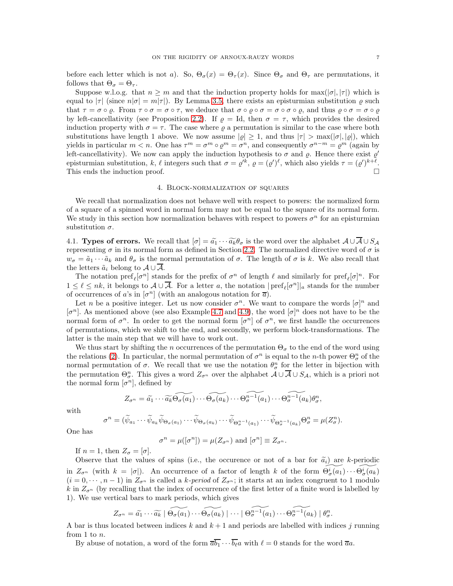before each letter which is not a). So,  $\Theta_{\sigma}(x) = \Theta_{\tau}(x)$ . Since  $\Theta_{\sigma}$  and  $\Theta_{\tau}$  are permutations, it follows that  $\Theta_{\sigma} = \Theta_{\tau}$ .

Suppose w.l.o.g. that  $n \geq m$  and that the induction property holds for max $(|\sigma|, |\tau|)$  which is equal to  $|\tau|$  (since  $n|\sigma| = m|\tau|$ ). By Lemma [3.5,](#page-5-0) there exists an episturmian substitution  $\rho$  such that  $\tau = \sigma \circ \varrho$ . From  $\tau \circ \sigma = \sigma \circ \tau$ , we deduce that  $\sigma \circ \varrho \circ \sigma = \sigma \circ \sigma \circ \varrho$ , and thus  $\varrho \circ \sigma = \sigma \circ \varrho$ by left-cancellativity (see Proposition [2.2\)](#page-2-2). If  $\rho = Id$ , then  $\sigma = \tau$ , which provides the desired induction property with  $\sigma = \tau$ . The case where  $\rho$  a permutation is similar to the case where both substitutions have length 1 above. We now assume  $|\varrho| \geq 1$ , and thus  $|\tau| > \max(|\sigma|, |\varrho|)$ , which yields in particular  $m < n$ . One has  $\tau^m = \sigma^m \circ \varrho^m = \sigma^n$ , and consequently  $\sigma^{n-m} = \varrho^m$  (again by left-cancellativity). We now can apply the induction hypothesis to  $\sigma$  and  $\rho$ . Hence there exist  $\rho'$ episturmian substitution, k, l integers such that  $\sigma = \varrho'^k$ ,  $\varrho = (\varrho')^{\ell}$ , which also yields  $\tau = (\varrho')^{k+\ell}$ . This ends the induction proof.

## 4. Block-normalization of squares

<span id="page-6-0"></span>We recall that normalization does not behave well with respect to powers: the normalized form of a square of a spinned word in normal form may not be equal to the square of its normal form. We study in this section how normalization behaves with respect to powers  $\sigma^n$  for an episturmian substitution  $\sigma$ .

4.1. Types of errors. We recall that  $[\sigma] = \tilde{a}_1 \cdots \tilde{a}_k \theta_{\sigma}$  is the word over the alphabet  $\mathcal{A} \cup \overline{\mathcal{A}} \cup \mathcal{S}_{\mathcal{A}}$ representing  $\sigma$  in its normal form as defined in Section [2.2.](#page-2-3) The normalized directive word of  $\sigma$  is  $w_{\sigma} = \tilde{a}_1 \cdots \tilde{a}_k$  and  $\theta_{\sigma}$  is the normal permutation of  $\sigma$ . The length of  $\sigma$  is k. We also recall that the letters  $\tilde{a}_i$  belong to  $\mathcal{A} \cup \overline{\mathcal{A}}$ .

The notation  $\text{pref}_\ell[\sigma^n]$  stands for the prefix of  $\sigma^n$  of length  $\ell$  and similarly for  $\text{pref}_\ell[\sigma]^n$ . For  $1 \leq \ell \leq nk$ , it belongs to  $\mathcal{A} \cup \overline{\mathcal{A}}$ . For a letter a, the notation  $|\text{pref}_\ell[\sigma^n]|_a$  stands for the number of occurrences of a's in  $[\sigma^n]$  (with an analogous notation for  $\overline{a}$ ).

Let *n* be a positive integer. Let us now consider  $\sigma^n$ . We want to compare the words  $[\sigma]^n$  and [ $\sigma^n$ ]. As mentioned above (see also Example [4.7](#page-10-0) and [4.9\)](#page-10-1), the word  $[\sigma]^n$  does not have to be the normal form of  $\sigma^n$ . In order to get the normal form  $[\sigma^n]$  of  $\sigma^n$ , we first handle the occurrences of permutations, which we shift to the end, and secondly, we perform block-transformations. The latter is the main step that we will have to work out.

We thus start by shifting the n occurrences of the permutation  $\Theta_{\sigma}$  to the end of the word using the relations [\(2\)](#page-3-1). In particular, the normal permutation of  $\sigma^n$  is equal to the n-th power  $\Theta^n_{\sigma}$  of the normal permutation of  $\sigma$ . We recall that we use the notation  $\theta_{\sigma}^{n}$  for the letter in bijection with the permutation  $\Theta_{\sigma}^n$ . This gives a word  $Z_{\sigma^n}$  over the alphabet  $\mathcal{A} \cup \overline{\mathcal{A}} \cup S_{\mathcal{A}}$ , which is a priori not the normal form  $[\sigma^n]$ , defined by

$$
Z_{\sigma^n} = \widetilde{a_1} \cdots \widetilde{a_k} \widetilde{\Theta_{\sigma}(a_1)} \cdots \widetilde{\Theta_{\sigma}(a_k)} \cdots \widetilde{\Theta_{\sigma}^{n-1}(a_1)} \cdots \widetilde{\Theta_{\sigma}^{n-1}(a_k)} \theta_{\sigma}^n,
$$

with

$$
\sigma^n = (\widetilde{\psi}_{a_1} \cdots \widetilde{\psi}_{a_k} \widetilde{\psi}_{\Theta_{\sigma}(a_1)} \cdots \widetilde{\psi}_{\Theta_{\sigma}(a_k)} \cdots \widetilde{\psi}_{\Theta_{\sigma}^{n-1}(a_1)} \cdots \widetilde{\psi}_{\Theta_{\sigma}^{n-1}(a_k)} \Theta_{\sigma}^n = \mu(Z_{\sigma}^n).
$$

One has

$$
\sigma^n = \mu([\sigma^n]) = \mu(Z_{\sigma^n}) \text{ and } [\sigma^n] \equiv Z_{\sigma^n}.
$$

If  $n = 1$ , then  $Z_{\sigma} = [\sigma]$ .

Observe that the values of spins (i.e., the occurence or not of a bar for  $\tilde{a}_i$ ) are k-periodic in  $Z_{\sigma^n}$  (with  $k = |\sigma|$ ). An occurrence of a factor of length k of the form  $\widetilde{\Theta_{\sigma}^i(a_1)} \cdots \widetilde{\Theta_{\sigma}^i(a_k)}$  $(i = 0, \dots, n-1)$  in  $Z_{\sigma^n}$  is called a k-period of  $Z_{\sigma^n}$ ; it starts at an index congruent to 1 modulo k in  $Z_{\sigma^{n}}$  (by recalling that the index of occurrence of the first letter of a finite word is labelled by 1). We use vertical bars to mark periods, which gives

$$
Z_{\sigma^n} = \widetilde{a_1} \cdots \widetilde{a_k} \mid \widetilde{\Theta_{\sigma}(a_1)} \cdots \widetilde{\Theta_{\sigma}(a_k)} \mid \cdots \mid \widetilde{\Theta_{\sigma}^{n-1}(a_1)} \cdots \widetilde{\Theta_{\sigma}^{n-1}(a_k)} \mid \theta_{\sigma}^n.
$$

A bar is thus located between indices k and  $k+1$  and periods are labelled with indices j running from 1 to n.

By abuse of notation, a word of the form  $\overline{ab_1} \cdots \overline{b_\ell} a$  with  $\ell = 0$  stands for the word  $\overline{a}a$ .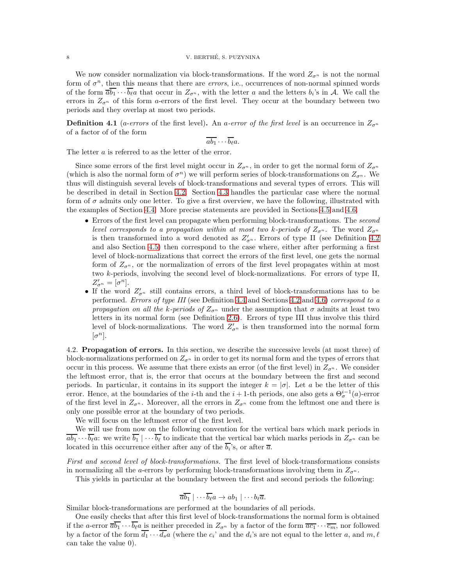## 8 V. BERTHÉ, S. PUZYNINA

We now consider normalization via block-transformations. If the word  $Z_{\sigma^n}$  is not the normal form of  $\sigma^n$ , then this means that there are *errors*, i.e., occurrences of non-normal spinned words of the form  $\overline{a}b_1 \cdots b_\ell a$  that occur in  $Z_{\sigma^n}$ , with the letter a and the letters  $b_i$ 's in A. We call the errors in  $Z_{\sigma^n}$  of this form a-errors of the first level. They occur at the boundary between two periods and they overlap at most two periods.

**Definition 4.1** (*a-errors* of the first level). An *a-error of the first level* is an occurrence in  $Z_{\sigma^n}$ of a factor of of the form

$$
\overline{ab_1}\cdots\overline{b_\ell}a.
$$

The letter a is referred to as the letter of the error.

Since some errors of the first level might occur in  $Z_{\sigma^n}$ , in order to get the normal form of  $Z_{\sigma^n}$ (which is also the normal form of  $\sigma^n$ ) we will perform series of block-transformations on  $Z_{\sigma^n}$ . We thus will distinguish several levels of block-transformations and several types of errors. This will be described in detail in Section [4.2.](#page-7-0) Section [4.3](#page-9-0) handles the particular case where the normal form of  $\sigma$  admits only one letter. To give a first overview, we have the following, illustrated with the examples of Section [4.4.](#page-10-2) More precise statements are provided in Sections [4.5](#page-11-0) and [4.6.](#page-13-0)

- Errors of the first level can propagate when performing block-transformations. The second level corresponds to a propagation within at most two k-periods of  $Z_{\sigma^n}$ . The word  $Z_{\sigma^n}$ is then transformed into a word denoted as  $Z'_{\sigma^n}$ . Errors of type II (see Definition [4.2](#page-8-0)) and also Section [4.5\)](#page-11-0) then correspond to the case where, either after performing a first level of block-normalizations that correct the errors of the first level, one gets the normal form of  $Z_{\sigma^n}$ , or the normalization of errors of the first level propagates within at most two k-periods, involving the second level of block-normalizations. For errors of type II,  $Z'_{\sigma^n} = [\sigma^n]$ .
- If the word  $Z'_{\sigma^n}$  still contains errors, a third level of block-transformations has to be performed. Errors of type III (see Definition [4.4](#page-9-1) and Sections [4.2](#page-9-2) and [4.6\)](#page-13-0) correspond to a propagation on all the k-periods of  $Z_{\sigma^n}$  under the assumption that  $\sigma$  admits at least two letters in its normal form (see Definition [2.6\)](#page-4-4). Errors of type III thus involve this third level of block-normalizations. The word  $Z'_{\sigma^n}$  is then transformed into the normal form  $[\sigma^n]$ .

<span id="page-7-0"></span>4.2. Propagation of errors. In this section, we describe the successive levels (at most three) of block-normalizations performed on  $Z_{\sigma^n}$  in order to get its normal form and the types of errors that occur in this process. We assume that there exists an error (of the first level) in  $Z_{\sigma^n}$ . We consider the leftmost error, that is, the error that occurs at the boundary between the first and second periods. In particular, it contains in its support the integer  $k = |\sigma|$ . Let a be the letter of this error. Hence, at the boundaries of the *i*-th and the  $i+1$ -th periods, one also gets a  $\Theta_{\sigma}^{i-1}(a)$ -error of the first level in  $Z_{\sigma^n}$ . Moreover, all the errors in  $Z_{\sigma^n}$  come from the leftmost one and there is only one possible error at the boundary of two periods.

We will focus on the leftmost error of the first level.

We will use from now on the following convention for the vertical bars which mark periods in  $\overline{ab_1} \cdots \overline{b_\ell} a$ : we write  $\overline{b_1} \cdots \overline{b_\ell}$  to indicate that the vertical bar which marks periods in  $Z_{\sigma^n}$  can be located in this occurrence either after any of the  $b_i$ 's, or after  $\overline{a}$ .

First and second level of block-transformations. The first level of block-transformations consists in normalizing all the a-errors by performing block-transformations involving them in  $Z_{\sigma^n}$ .

This yields in particular at the boundary between the first and second periods the following:

$$
\overline{ab_1} \mid \cdots \overline{b_\ell} a \to ab_1 \mid \cdots b_\ell \overline{a}.
$$

Similar block-transformations are performed at the boundaries of all periods.

One easily checks that after this first level of block-transformations the normal form is obtained if the a-error  $\overline{a}\overline{b_1} \cdots \overline{b_\ell} a$  is neither preceded in  $Z_{\sigma^n}$  by a factor of the form  $\overline{a c_1} \cdots \overline{c_m}$ , nor followed by a factor of the form  $d_1 \cdots d_s a$  (where the  $c_i$ ' and the  $d_i$ 's are not equal to the letter a, and  $m, \ell$ can take the value 0).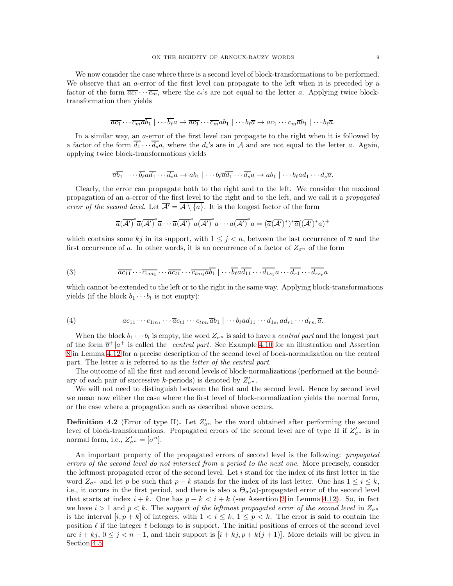We now consider the case where there is a second level of block-transformations to be performed. We observe that an a-error of the first level can propagate to the left when it is preceded by a factor of the form  $\overline{ac_1} \cdots \overline{c_m}$ , where the  $c_i$ 's are not equal to the letter a. Applying twice blocktransformation then yields

$$
\overline{ac_1\cdots c_m}\overline{ab_1}\mid\cdots\overline{b_\ell}a\rightarrow \overline{ac_1\cdots c_m}ab_1\mid\cdots b_\ell\overline{a}\rightarrow ac_1\cdots c_m\overline{a}b_1\mid\cdots b_\ell\overline{a}.
$$

In a similar way, an a-error of the first level can propagate to the right when it is followed by a factor of the form  $d_1 \cdots d_s a$ , where the  $d_i$ 's are in A and are not equal to the letter a. Again, applying twice block-transformations yields

$$
\overline{ab_1}\mid \cdots \overline{b_{\ell}}a\overline{d_1}\cdots \overline{d_s}a \to ab_1\mid \cdots b_{\ell}\overline{a}\overline{d_1}\cdots \overline{d_s}a \to ab_1\mid \cdots b_{\ell}ad_1\cdots d_s\overline{a}.
$$

Clearly, the error can propagate both to the right and to the left. We consider the maximal propagation of an a-error of the first level to the right and to the left, and we call it a propagated error of the second level. Let  $\overline{\mathcal{A}'} = \overline{\mathcal{A} \setminus \{a\}}$ . It is the longest factor of the form

<span id="page-8-1"></span>
$$
\overline{a}(\overline{\mathcal{A}^{\prime}})^{*}\overline{a}(\overline{\mathcal{A}^{\prime}})^{*}\overline{a} \cdots \overline{a}(\overline{\mathcal{A}^{\prime}})^{*}a(\overline{\mathcal{A}^{\prime}})^{*}a \cdots a(\overline{\mathcal{A}^{\prime}})^{*}a = (\overline{a}(\overline{\mathcal{A}^{\prime}})^{*})^{*}\overline{a}((\overline{\mathcal{A}^{\prime}})^{*}a)^{+}
$$

which contains some kj in its support, with  $1 \leq j < n$ , between the last occurrence of  $\overline{a}$  and the first occurrence of a. In other words, it is an occurrence of a factor of  $Z_{\sigma^n}$  of the form

(3) 
$$
\overline{ac_{11}} \cdots \overline{c_{1m_1}} \cdots \overline{ac_{t1}} \cdots \overline{c_{tm_t} \overline{ab_1}} \cdots \overline{b_{\ell}} \overline{a \overline{d_{11}}} \cdots \overline{d_{1s_1}} \overline{a \cdots \overline{d_{r1}}} \cdots \overline{d_{rs_r}} \overline{a}
$$

which cannot be extended to the left or to the right in the same way. Applying block-transformations yields (if the block  $b_1 \cdots b_l$  is not empty):

$$
(4) \qquad ac_{11}\cdots c_{1m_1}\cdots \overline{a}c_{t1}\cdots c_{tm_t}\overline{a}b_1 | \cdots b_{\ell}a d_{11}\cdots d_{1s_1}a d_{r1}\cdots d_{rs_r}\overline{a}.
$$

When the block  $b_1 \cdots b_l$  is empty, the word  $Z_{\sigma^n}$  is said to have a *central part* and the longest part of the form  $\overline{a}^+|a^+|$  is called the *central part*. See Example [4.10](#page-11-1) for an illustration and Assertion [8](#page-12-0) in Lemma [4.12](#page-12-1) for a precise description of the second level of bock-normalization on the central part. The letter a is referred to as the letter of the central part.

The outcome of all the first and second levels of block-normalizations (performed at the boundary of each pair of successive k-periods) is denoted by  $Z'_{\sigma^n}$ .

We will not need to distinguish between the first and the second level. Hence by second level we mean now either the case where the first level of block-normalization yields the normal form, or the case where a propagation such as described above occurs.

<span id="page-8-0"></span>**Definition 4.2** (Error of type II). Let  $Z'_{\sigma^n}$  be the word obtained after performing the second level of block-transformations. Propagated errors of the second level are of type II if  $Z'_{\sigma^n}$  is in normal form, i.e.,  $Z'_{\sigma^n} = [\sigma^n]$ .

An important property of the propagated errors of second level is the following: propagated errors of the second level do not intersect from a period to the next one. More precisely, consider the leftmost propagated error of the second level. Let  $i$  stand for the index of its first letter in the word  $Z_{\sigma^n}$  and let p be such that  $p + k$  stands for the index of its last letter. One has  $1 \leq i \leq k$ , i.e., it occurs in the first period, and there is also a  $\Theta_{\sigma}(a)$ -propagated error of the second level that starts at index  $i + k$ . One has  $p + k < i + k$  (see Assertion [2](#page-12-2) in Lemma [4.12\)](#page-12-1). So, in fact we have  $i > 1$  and  $p < k$ . The support of the leftmost propagated error of the second level in  $Z_{\sigma^n}$ is the interval  $[i, p+k]$  of integers, with  $1 \leq i \leq k$ ,  $1 \leq p \leq k$ . The error is said to contain the position  $\ell$  if the integer  $\ell$  belongs to is support. The initial positions of errors of the second level are  $i + kj$ ,  $0 \le j \le n-1$ , and their support is  $[i + kj, p + k(j+1)]$ . More details will be given in Section [4.5.](#page-11-0)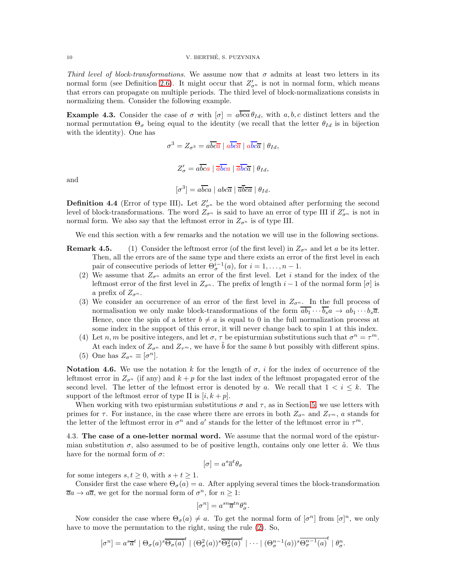<span id="page-9-2"></span>Third level of block-transformations. We assume now that  $\sigma$  admits at least two letters in its normal form (see Definition [2.6\)](#page-4-4). It might occur that  $Z'_{\sigma^n}$  is not in normal form, which means that errors can propagate on multiple periods. The third level of block-normalizations consists in normalizing them. Consider the following example.

**Example 4.3.** Consider the case of  $\sigma$  with  $[\sigma] = a\overline{bca} \theta_{Id}$ , with  $a, b, c$  distinct letters and the normal permutation  $\Theta_{\sigma}$  being equal to the identity (we recall that the letter  $\theta_{Id}$  is in bijection with the identity). One has

 $\sigma^3 = Z_{\sigma^3} = a \overline{bc} \overline{a} \mid a \overline{bc} \overline{a} \mid a \overline{bc} \overline{a} \mid \theta_{Id},$ 

and

 $[\sigma^3] = a\overline{bca} \mid abc\overline{a} \mid \overline{a}\overline{b}\overline{ca} \mid \theta_{Id}.$ 

 $Z'_{\sigma} = a\overline{bc}a \mid \overline{a}\overline{bc}a \mid \overline{a}\overline{bc}\overline{a} \mid \theta_{Id},$ 

<span id="page-9-1"></span>**Definition 4.4** (Error of type III). Let  $Z'_{\sigma^n}$  be the word obtained after performing the second level of block-transformations. The word  $Z_{\sigma^n}$  is said to have an error of type III if  $Z'_{\sigma^n}$  is not in normal form. We also say that the leftmost error in  $Z_{\sigma^n}$  is of type III.

We end this section with a few remarks and the notation we will use in the following sections.

- <span id="page-9-5"></span>**Remark 4.5.** (1) Consider the leftmost error (of the first level) in  $Z_{\sigma^n}$  and let a be its letter. Then, all the errors are of the same type and there exists an error of the first level in each pair of consecutive periods of letter  $\Theta_{\sigma}^{i-1}(a)$ , for  $i = 1, \ldots, n-1$ .
	- (2) We assume that  $Z_{\sigma^n}$  admits an error of the first level. Let i stand for the index of the leftmost error of the first level in  $Z_{\sigma^n}$ . The prefix of length  $i-1$  of the normal form  $[\sigma]$  is a prefix of  $Z_{\sigma^{n}}$ .
	- (3) We consider an occurrence of an error of the first level in  $Z_{\sigma^n}$ . In the full process of normalisation we only make block-transformations of the form  $\overline{ab_1} \cdots \overline{b_s} \overline{a}$   $\rightarrow ab_1 \cdots b_s \overline{a}$ . Hence, once the spin of a letter  $b \neq a$  is equal to 0 in the full normalization process at some index in the support of this error, it will never change back to spin 1 at this index.
	- (4) Let n, m be positive integers, and let  $\sigma$ ,  $\tau$  be episturmian substitutions such that  $\sigma^n = \tau^m$ . At each index of  $Z_{\sigma^n}$  and  $Z_{\tau^m}$ , we have  $\tilde{b}$  for the same b but possibly with different spins.
	- (5) One has  $Z_{\sigma^n} \equiv [\sigma^n]$ .

<span id="page-9-4"></span><span id="page-9-3"></span>**Notation 4.6.** We use the notation k for the length of  $\sigma$ , i for the index of occurrence of the leftmost error in  $Z_{\sigma^n}$  (if any) and  $k + p$  for the last index of the leftmost propagated error of the second level. The letter of the lefmost error is denoted by a. We recall that  $1 < i \leq k$ . The support of the leftmost error of type II is  $[i, k + p]$ .

When working with two episturmian substitutions  $\sigma$  and  $\tau$ , as in Section [5,](#page-16-0) we use letters with primes for  $\tau$ . For instance, in the case where there are errors in both  $Z_{\sigma^n}$  and  $Z_{\tau^m}$ , a stands for the letter of the leftmost error in  $\sigma^n$  and  $a'$  stands for the letter of the leftmost error in  $\tau^m$ .

<span id="page-9-0"></span>4.3. The case of a one-letter normal word. We assume that the normal word of the episturmian substitution  $\sigma$ , also assumed to be of positive length, contains only one letter  $\tilde{a}$ . We thus have for the normal form of  $\sigma$ :

$$
[\sigma] = a^s \overline{a}^t \theta_\sigma
$$

for some integers  $s, t \geq 0$ , with  $s + t \geq 1$ .

Consider first the case where  $\Theta_{\sigma}(a) = a$ . After applying several times the block-transformation  $\overline{a}a \to a\overline{a}$ , we get for the normal form of  $\sigma^n$ , for  $n \geq 1$ :

$$
[\sigma^n] = a^{sn} \overline{a}^{tn} \theta_{\sigma}^n.
$$

Now consider the case where  $\Theta_{\sigma}(a) \neq a$ . To get the normal form of  $[\sigma^n]$  from  $[\sigma]^n$ , we only have to move the permutation to the right, using the rule [\(2\)](#page-3-1). So,

$$
[\sigma^n] = a^s \overline{a}^t \mid \Theta_\sigma(a)^s \overline{\Theta_\sigma(a)}^t \mid (\Theta_\sigma^2(a))^s \overline{\Theta_\sigma^2(a)}^t \mid \cdots \mid (\Theta_\sigma^{n-1}(a))^s \overline{\Theta_\sigma^{n-1}(a)}^t \mid \theta_\sigma^n.
$$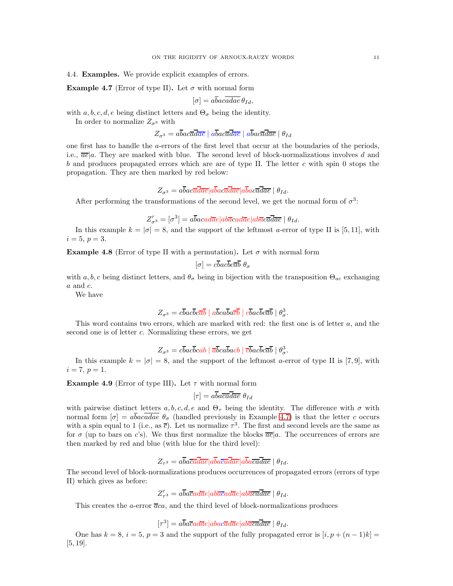<span id="page-10-2"></span>4.4. Examples. We provide explicit examples of errors.

<span id="page-10-0"></span>**Example 4.7** (Error of type II). Let  $\sigma$  with normal form

$$
[\sigma] = abacadae \theta_{Id},
$$

with a, b, c, d, e being distinct letters and  $\Theta_{\sigma}$  being the identity.

In order to normalize  $Z_{\sigma^3}$  with

 $Z_{\sigma^3} = a\overline{b}ac\overline{a}\overline{d}\overline{a}\overline{e} \mid a\overline{b}ac\overline{a}\overline{d}\overline{a}\overline{e} \mid \theta_{Id}$ 

one first has to handle the a-errors of the first level that occur at the boundaries of the periods, i.e.,  $\overline{ae}|a$ . They are marked with blue. The second level of block-normalizations involves d and b and produces propagated errors which are are of type II. The letter c with spin 0 stops the propagation. They are then marked by red below:

$$
Z_{\sigma^3}=a\overline{b}ac\overline{a}\overline{d}\overline{a}\overline{e}|a\overline{b}ac\overline{a}\overline{d}\overline{a}\overline{e}|a\overline{b}ac\overline{a}\overline{d}\overline{a}\overline{e}\mid\theta_{Id}.
$$

After performing the transformations of the second level, we get the normal form of  $\sigma^3$ :

$$
Z'_{\sigma^3} = [\sigma^3] = a\overline{b}acad\overline{a}e|ab\overline{a}cad\overline{a}e|ab\overline{a}c\overline{a}\overline{d}\overline{a}e| \theta_{Id}.
$$

In this example  $k = |\sigma| = 8$ , and the support of the leftmost a-error of type II is [5, 11], with  $i = 5, p = 3.$ 

**Example 4.8** (Error of type II with a permutation). Let  $\sigma$  with normal form

$$
[\sigma] = c\overline{b}ac\overline{b}c\overline{a}\overline{b}\ \theta_{\sigma}
$$

with a, b, c being distinct letters, and  $\theta_{\sigma}$  being in bijection with the transposition  $\Theta_{ac}$  exchanging  $a$  and  $c$ .

We have

$$
Z_{\sigma^3} = c\overline{b}ac\overline{b}c\overline{a}\overline{b} \mid a\overline{b}ca\overline{b}a\overline{c}\overline{b} \mid c\overline{b}ac\overline{b}c\overline{a}\overline{b} \mid \theta^3_{\sigma}.
$$

This word contains two errors, which are marked with red: the first one is of letter a, and the second one is of letter c. Normalizing these errors, we get

$$
Z_{\sigma^3} = c\overline{b}ac\overline{b}cab \mid \overline{a}\overline{b}ca\overline{b}acb \mid \overline{c}\overline{b}ac\overline{b}c\overline{a}\overline{b} \mid \theta_{\sigma}^3.
$$

In this example  $k = |\sigma| = 8$ , and the support of the leftmost a-error of type II is [7,9], with  $i = 7, p = 1.$ 

<span id="page-10-1"></span>**Example 4.9** (Error of type III). Let  $\tau$  with normal form

$$
[\tau] = a\overline{ba\overline{ca}}\overline{da\overline{e}} \ \theta_{Id}
$$

with pairwise distinct letters  $a, b, c, d, e$  and  $\Theta_{\tau}$  being the identity. The difference with  $\sigma$  with normal form  $[\sigma] = abacadae \theta_{\sigma}$  (handled previously in Example [4.7\)](#page-10-0) is that the letter c occurs with a spin equal to 1 (i.e., as  $\bar{c}$ ). Let us normalize  $\tau^3$ . The first and second levels are the same as for  $\sigma$  (up to bars on c's). We thus first normalize the blocks  $\overline{ae}|a$ . The occurrences of errors are then marked by red and blue (with blue for the third level):

$$
Z_{\tau^3}=a\overline{ba\overline{ca}}\overline{da}\overline{e}|a\overline{ba}\overline{ca}\overline{da}\overline{e}|a\overline{ba}\overline{ca}\overline{da}\overline{e}\mid\theta_{Id}.
$$

The second level of block-normalizations produces occurrences of propagated errors (errors of type II) which gives as before:

$$
Z'_{\tau^3} = a\overline{b}a\overline{c}ad\overline{a}e|ab\overline{a}\overline{c}ad\overline{a}e|ab\overline{a}\overline{c}\overline{a}\overline{d}\overline{a}\overline{e} | \theta_{Id}.
$$

This creates the a-error  $\overline{a}ca$ , and the third level of block-normalizations produces

$$
[\tau^3] = a\overline{b}a\overline{c}ad\overline{a}e|abac\overline{a}d\overline{a}e|ab\overline{a}c\overline{a}\overline{d}\overline{a}e| \theta_{Id}.
$$

One has  $k = 8$ ,  $i = 5$ ,  $p = 3$  and the support of the fully propagated error is  $[i, p + (n-1)k]$ [5, 19].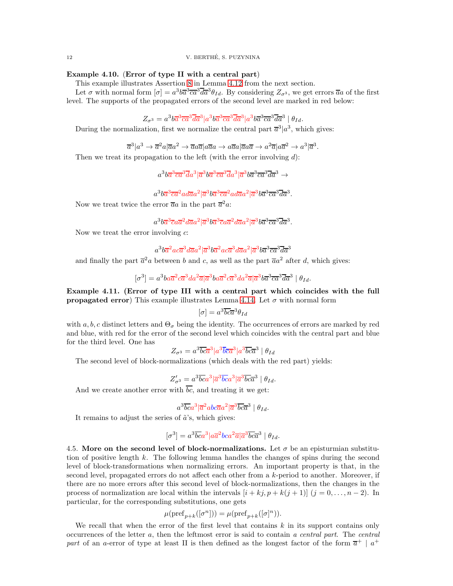12 V. BERTHE, S. PUZYNINA ´

# <span id="page-11-1"></span>Example 4.10. (Error of type II with a central part)

This example illustrates Assertion [8](#page-12-0) in Lemma [4.12](#page-12-1) from the next section.

Let  $\sigma$  with normal form  $[\sigma] = a^3 b \overline{a}^3 \overline{c} \overline{a}^3 \overline{d} \overline{a}^3 \theta_{Id}$ . By considering  $Z_{\sigma^3}$ , we get errors  $\overline{a}a$  of the first level. The supports of the propagated errors of the second level are marked in red below:

 $Z_{\sigma^3} = a^3 b \overline{a}^3 \overline{c} \overline{a}^3 \overline{d} \overline{a}^3 | a^3 b \overline{a}^3 \overline{c} \overline{a}^3 \overline{d} \overline{a}^3 | a^3 b \overline{a}^3 \overline{c} \overline{a}^3 \overline{d} \overline{a}^3 | \theta_{Id}.$ 

During the normalization, first we normalize the central part  $\bar{a}^3 | a^3$ , which gives:

 $\overline{a}^3|a^3\to\overline{a}^2a|\overline{a}a^2\to\overline{a}a\overline{a}|a\overline{a}a\to a\overline{a}a|\overline{a}a\overline{a}\to a^2\overline{a}|a\overline{a}^2\to a^3|\overline{a}^3.$ 

Then we treat its propagation to the left (with the error involving  $d$ ):

 $a^3b\overline{a}^3\overline{c}\overline{a}^3\overline{d}a^3|\overline{a}^3b\overline{a}^3\overline{c}\overline{a}^3\overline{d}a^3|\overline{a}^3b\overline{a}^3\overline{c}\overline{a}^3\overline{d}\overline{a}^3\rightarrow$ 

 $a^3b{\overline a}^3{\overline c}{\overline a}^2 a d{\overline a} a^2|{\overline a}^3b{\overline a}^3{\overline c}{\overline a}^2 a d{\overline a} a^2|{\overline a}^3b{\overline a}^3{\overline c}{\overline a}^3{\overline d}{\overline a}^3.$ 

Now we treat twice the error  $\overline{a}a$  in the part  $\overline{a}^2a$ :

 $a^3 b \overline{a}^3 \overline{c} a \overline{a}^2 d \overline{a} a^2 | \overline{a}^3 b \overline{a}^3 \overline{c} a \overline{a}^2 d \overline{a} a^2 | \overline{a}^3 b \overline{a}^3 \overline{c} \overline{a}^3 \overline{d} \overline{a}^3.$ 

Now we treat the error involving  $c$ :

 $a^3 b \overline{a}^2 a c \overline{a}^3 d \overline{a} a^2 | \overline{a}^3 b \overline{a}^2 a c \overline{a}^3 d \overline{a} a^2 | \overline{a}^3 b \overline{a}^3 \overline{c} \overline{a}^3 \overline{d} \overline{a}^3$ 

and finally the part  $\bar{a}^2 a$  between b and c, as well as the part  $\bar{a}a^2$  after d, which gives:

 $[\sigma^3]=a^3ba\overline{a}^2c\overline{a}^3da^2\overline{a}|\overline{a}^3ba\overline{a}^2c\overline{a}^3da^2\overline{a}|\overline{a}^3b\overline{a}^3\overline{c}\overline{a}^3\overline{d}\overline{a}^3\mid\theta_{Id}.$ 

Example 4.11. (Error of type III with a central part which coincides with the full **propagated error**) This example illustrates Lemma [4.14.](#page-13-1) Let  $\sigma$  with normal form

$$
[\sigma] = a^3 \overline{bc} \overline{a}^3 \theta_{Id}
$$

with a, b, c distinct letters and  $\Theta_{\sigma}$  being the identity. The occurrences of errors are marked by red and blue, with red for the error of the second level which coincides with the central part and blue for the third level. One has

$$
Z_{\sigma^3} = a^3 \overline{bc} \overline{a}^3 |a^3 \overline{bc} \overline{a}^3 |a^3 \overline{bc} \overline{a}^3 | \theta_{Id}
$$

The second level of block-normalizations (which deals with the red part) yields:

$$
Z'_{\sigma^3}=a^3\overline{bc}a^3|\overline{a}^3\overline{bc}a^3|\overline{a}^3\overline{bc}\overline{a}^3\mid\theta_{Id}.
$$

And we create another error with  $\overline{bc}$ , and treating it we get:

 $a^3\overline{bc}a^3|\overline{a}^2abc\overline{a}a^2|\overline{a}^3\overline{bc}\overline{a}^3\mid\theta_{Id}.$ 

It remains to adjust the series of  $\tilde{a}$ 's, which gives:

$$
[\sigma^3] = a^3 \overline{bc} a^3 |a \overline{a}^2 b c a^2 \overline{a} | \overline{a}^3 \overline{bc} \overline{a}^3 | \theta_{Id}.
$$

<span id="page-11-0"></span>4.5. More on the second level of block-normalizations. Let  $\sigma$  be an episturmian substitution of positive length k. The following lemma handles the changes of spins during the second level of block-transformations when normalizing errors. An important property is that, in the second level, propagated errors do not affect each other from a k-period to another. Moreover, if there are no more errors after this second level of block-normalizations, then the changes in the process of normalization are local within the intervals  $[i + kj, p + k(j + 1)]$   $(j = 0, \ldots, n-2)$ . In particular, for the corresponding substitutions, one gets

$$
\mu(\mathrm{pref}_{p+k}([\sigma^n])) = \mu(\mathrm{pref}_{p+k}([\sigma]^n)).
$$

We recall that when the error of the first level that contains  $k$  in its support contains only occurrences of the letter  $a$ , then the leftmost error is said to contain a central part. The central part of an a-error of type at least II is then defined as the longest factor of the form  $\overline{a}^+$  |  $a^+$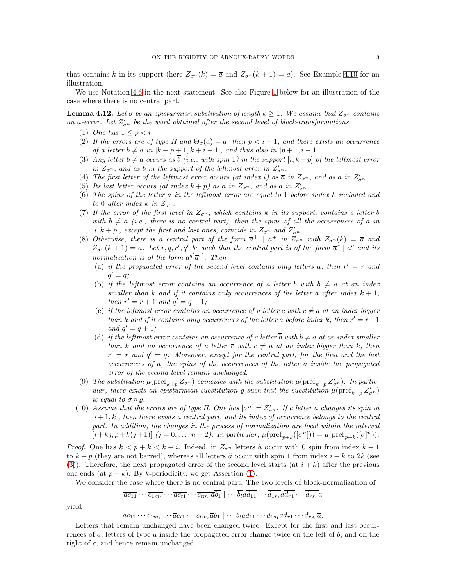that contains k in its support (here  $Z_{\sigma^n}(k) = \overline{a}$  and  $Z_{\sigma^n}(k+1) = a$ ). See Example [4.10](#page-11-1) for an illustration.

We use Notation [4.6](#page-9-3) in the next statement. See also Figure [1](#page-13-2) below for an illustration of the case where there is no central part.

<span id="page-12-3"></span><span id="page-12-1"></span>**Lemma 4.12.** Let  $\sigma$  be an episturmian substitution of length  $k \geq 1$ . We assume that  $Z_{\sigma^n}$  contains an a-error. Let  $Z'_{\sigma^n}$  be the word obtained after the second level of block-transformations.

- <span id="page-12-2"></span>(1) One has  $1 \leq p \leq i$ .
- (2) If the errors are of type II and  $\Theta_{\sigma}(a) = a$ , then  $p < i 1$ , and there exists an occurrence of a letter  $b \neq a$  in  $[k+p+1, k+i-1]$ , and thus also in  $[p+1, i-1]$ .
- <span id="page-12-7"></span>(3) Any letter  $b \neq a$  occurs as  $\overline{b}$  (i.e., with spin 1) in the support  $[i, k + p]$  of the leftmost error in  $Z_{\sigma^n}$ , and as b in the support of the leftmost error in  $Z'_{\sigma^n}$ .
- <span id="page-12-8"></span><span id="page-12-5"></span>(4) The first letter of the leftmost error occurs (at index i) as  $\overline{a}$  in  $Z_{\sigma^n}$ , and as a in  $Z'_{\sigma^n}$ .
- <span id="page-12-9"></span>(5) Its last letter occurs (at index  $k+p$ ) as a in  $Z_{\sigma^n}$ , and as  $\overline{a}$  in  $Z'_{\sigma^n}$ .
- (6) The spins of the letter  $a$  in the leftmost error are equal to 1 before index  $k$  included and to 0 after index k in  $Z_{\sigma^n}$ .
- <span id="page-12-10"></span>(7) If the error of the first level in  $Z_{\sigma^n}$ , which contains k in its support, contains a letter b with  $b \neq a$  (i.e., there is no central part), then the spins of all the occurrences of a in [i, k + p], except the first and last ones, coincide in  $Z_{\sigma^n}$  and  $Z'_{\sigma^n}$ .
- <span id="page-12-0"></span>(8) Otherwise, there is a central part of the form  $\overline{a}^+$  |  $a^+$  in  $Z_{\sigma^n}$  with  $Z_{\sigma^n}(k) = \overline{a}$  and  $Z_{\sigma^n}(k+1) = a$ . Let r, q, r', q' be such that the central part is of the form  $\overline{a}^r$  and its normalization is of the form  $a^{q'}\overline{a}^{r'}$ . Then
	- (a) if the propagated error of the second level contains only letters a, then  $r' = r$  and  $q' = q;$
	- (b) if the leftmost error contains an occurrence of a letter  $\overline{b}$  with  $b \neq a$  at an index smaller than k and if it contains only occurrences of the letter a after index  $k + 1$ , then  $r' = r + 1$  and  $q' = q - 1$ ;
	- (c) if the leftmost error contains an occurrence of a letter  $\overline{c}$  with  $c \neq a$  at an index bigger than k and if it contains only occurrences of the letter a before index k, then  $r' = r - 1$ and  $q' = q + 1;$
	- (d) if the leftmost error contains an occurrence of a letter  $\overline{b}$  with  $b \neq a$  at an index smaller than k and an occurrence of a letter  $\overline{c}$  with  $c \neq a$  at an index bigger than k, then  $r' = r$  and  $q' = q$ . Moreover, except for the central part, for the first and the last occurrences of a, the spins of the occurrences of the letter a inside the propagated error of the second level remain unchanged.
- <span id="page-12-4"></span>(9) The substitution  $\mu(\text{pref}_{k+p} Z_{\sigma^n})$  coincides with the substitution  $\mu(\text{pref}_{k+p} Z'_{\sigma^n})$ . In particular, there exists an episturmian substitution  $\rho$  such that the substitution  $\mu(\text{pref}_{k+p} Z_{\sigma^n})$ is equal to  $\sigma \circ \varrho$ .
- <span id="page-12-6"></span>(10) Assume that the errors are of type II. One has  $[\sigma^n] = Z'_{\sigma^n}$ . If a letter a changes its spin in  $[i+1, k]$ , then there exists a central part, and its index of occurrence belongs to the central part. In addition, the changes in the process of normalization are local within the interval  $[i+kj, p+k(j+1)]$   $(j = 0, ..., n-2)$ . In particular,  $\mu(\text{pref}_{p+k}([\sigma^n])) = \mu(\text{pref}_{p+k}([\sigma]^n))$ .

*Proof.* One has  $k < p + k < k + i$ . Indeed, in  $Z_{\sigma^n}$  letters  $\tilde{a}$  occur with 0 spin from index  $k + 1$ to  $k + p$  (they are not barred), whereas all letters  $\tilde{a}$  occur with spin 1 from index  $i + k$  to 2k (see [\(3\)](#page-8-1)). Therefore, the next propagated error of the second level starts (at  $i + k$ ) after the previous one ends (at  $p + k$ ). By k-periodicity, we get Assertion [\(1\)](#page-12-3).

We consider the case where there is no central part. The two levels of block-normalization of

$$
\overline{ac_{11}} \cdots \overline{c_{1m_1}} \cdots \overline{ac_{t1}} \cdots \overline{c_{tm_t}a_{b_1}} \mid \cdots \overline{b_l}a_{11} \cdots \overline{d_{1s_1}}a_{11} \cdots \overline{d_{rs_r}}a_{11} \cdots \overline{d_{rs_r}}a_{11} \cdots \overline{d_{rs_r}}a_{11} \cdots \overline{d_{rs_r}}a_{11} \cdots \overline{d_{rs_r}}a_{11} \cdots \overline{d_{rs_r}}a_{11} \cdots \overline{a_{rs_r}}a_{11} \cdots \overline{a_{rs_r}}a_{11} \cdots \overline{a_{rs_r}}a_{11} \cdots \overline{a_{rs_r}}a_{11} \cdots \overline{a_{rs_r}}a_{11} \cdots \overline{a_{rs_r}}a_{11} \cdots \overline{a_{rs_r}}a_{11} \cdots \overline{a_{rs_r}}a_{11} \cdots \overline{a_{rs_r}}a_{11} \cdots \overline{a_{rs_r}}a_{11} \cdots \overline{a_{rs_r}}a_{11} \cdots \overline{a_{rs_r}}a_{11} \cdots \overline{a_{rs_r}}a_{11} \cdots \overline{a_{rs_r}}a_{11} \cdots \overline{a_{rs_r}}a_{11} \cdots \overline{a_{rs_r}}a_{11} \cdots \overline{a_{rs_r}}a_{11} \cdots \overline{a_{rs_r}}a_{11} \cdots \overline{a_{rs_r}}a_{11} \cdots \overline{a_{rs_r}}a_{11} \cdots \overline{a_{rs_r}}a_{11} \cdots \overline{a_{rs_r}}a_{11} \cdots \overline{a_{rs_r}}a_{11} \cdots \overline{a_{rs_r}}a_{11} \cdots \overline{a_{rs_r}}a_{11} \cdots \overline{a_{rs_r}}a_{11} \cdots \overline{a_{rs_r}}a_{11} \cdots \overline{a_{rs_r}}a_{11} \cdots \overline{a_{rs_r}}a_{11} \cdots \overline{a_{rs_r}}a_{11} \cdots \overline{a_{rs_r}}a_{11} \cdots \overline{a_{rs_r}}a_{11} \cdots \overline{a_{rs_r}}a_{11} \cdots \overline{a
$$

yield

$$
ac_{11}\cdots c_{1m_1}\cdots \overline{a}c_{t1}\cdots c_{tm_t}\overline{a}b_1 | \cdots b_l a d_{11}\cdots d_{1s_1} a d_{r1}\cdots d_{rs_r}\overline{a}.
$$

Letters that remain unchanged have been changed twice. Except for the first and last occurrences of a, letters of type a inside the propagated error change twice on the left of  $b$ , and on the right of c, and hence remain unchanged.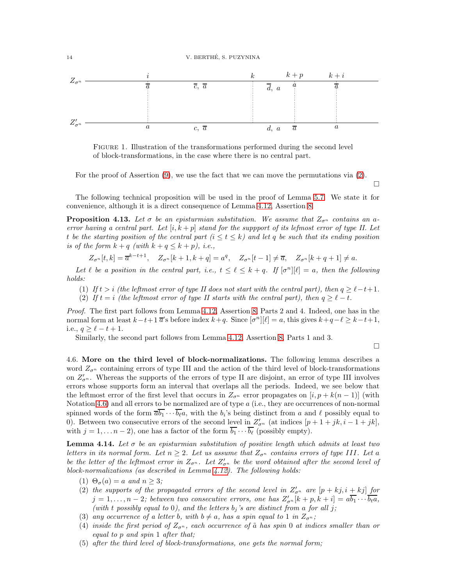

<span id="page-13-2"></span>Figure 1. Illustration of the transformations performed during the second level of block-transformations, in the case where there is no central part.

For the proof of Assertion [\(9\)](#page-12-4), we use the fact that we can move the permutations via [\(2\)](#page-3-1).

 $\Box$ 

The following technical proposition will be used in the proof of Lemma [5.7.](#page-19-0) We state it for convenience, although it is a direct consequence of Lemma [4.12,](#page-12-1) Assertion [8.](#page-12-0)

<span id="page-13-6"></span>**Proposition 4.13.** Let  $\sigma$  be an episturmian substitution. We assume that  $Z_{\sigma^n}$  contains an aerror having a central part. Let  $[i, k + p]$  stand for the suppport of its lefmost error of type II. Let t be the starting position of the central part  $(i \leq t \leq k)$  and let q be such that its ending position is of the form  $k + q$  (with  $k + q \leq k + p$ ), i.e.,

$$
Z_{\sigma^n}[t,k] = \overline{a}^{k-t+1}, \quad Z_{\sigma^n}[k+1,k+q] = a^q, \quad Z_{\sigma^n}[t-1] \neq \overline{a}, \quad Z_{\sigma^n}[k+q+1] \neq a.
$$

<span id="page-13-7"></span>Let  $\ell$  be a position in the central part, i.e.,  $t \leq \ell \leq k + q$ . If  $[\sigma^n][\ell] = a$ , then the following holds:

- <span id="page-13-8"></span>(1) If  $t > i$  (the leftmost error of type II does not start with the central part), then  $q \ge \ell - t + 1$ .
- (2) If  $t = i$  (the leftmost error of type II starts with the central part), then  $q \ge \ell t$ .

Proof. The first part follows from Lemma [4.12,](#page-12-1) Assertion [8,](#page-12-0) Parts 2 and 4. Indeed, one has in the normal form at least  $k-t+1$   $\overline{a}$ 's before index  $k+q$ . Since  $[\sigma^n][\ell] = a$ , this gives  $k+q-\ell \geq k-t+1$ , i.e.,  $q \geq \ell - t + 1$ .

Similarly, the second part follows from Lemma [4.12,](#page-12-1) Assertion [8,](#page-12-0) Parts 1 and 3.

 $\Box$ 

<span id="page-13-0"></span>4.6. More on the third level of block-normalizations. The following lemma describes a word  $Z_{\sigma^n}$  containing errors of type III and the action of the third level of block-transformations on  $Z'_{\sigma^{n}}$ . Whereas the supports of the errors of type II are disjoint, an error of type III involves errors whose supports form an interval that overlaps all the periods. Indeed, we see below that the leftmost error of the first level that occurs in  $Z_{\sigma^n}$  error propagates on  $[i, p + k(n-1)]$  (with Notation [4.6\)](#page-9-3) and all errors to be normalized are of type  $a$  (i.e., they are occurrences of non-normal spinned words of the form  $\overline{a}b_1 \cdots b_\ell a$ , with the  $b_i$ 's being distinct from a and  $\ell$  possibly equal to 0). Between two consecutive errors of the second level in  $Z'_{\sigma^n}$  (at indices  $[p+1+jk, i-1+jk]$ , with  $j = 1, \ldots n-2$ , one has a factor of the form  $\overline{b_1} \cdots \overline{b_\ell}$  (possibly empty).

<span id="page-13-1"></span>**Lemma 4.14.** Let  $\sigma$  be an episturmian substitution of positive length which admits at least two letters in its normal form. Let  $n \geq 2$ . Let us assume that  $Z_{\sigma^n}$  contains errors of type III. Let a be the letter of the leftmost error in  $Z_{\sigma^n}$ . Let  $Z'_{\sigma^n}$  be the word obtained after the second level of block-normalizations (as described in Lemma [4.12\)](#page-12-1). The following holds:

- <span id="page-13-9"></span><span id="page-13-3"></span>(1)  $\Theta_{\sigma}(a) = a$  and  $n \geq 3$ ;
- (2) the supports of the propagated errors of the second level in  $Z'_{\sigma^n}$  are  $[p + kj, i + kj]$  for  $j = 1, \ldots, n-2$ ; between two consecutive errors, one has  $Z'_{\sigma^n}[k+p, k+i] = a\overline{b_1 \cdots b_t a}$ , (with t possibly equal to 0), and the letters  $b_j$ 's are distinct from a for all j;
- <span id="page-13-5"></span><span id="page-13-4"></span>(3) any occurrence of a letter b, with  $b \neq a$ , has a spin equal to 1 in  $Z_{\sigma^n}$ ;
- (4) inside the first period of  $Z_{\sigma^n}$ , each occurrence of  $\tilde{a}$  has spin 0 at indices smaller than or equal to p and spin 1 after that;
- (5) after the third level of block-transformations, one gets the normal form;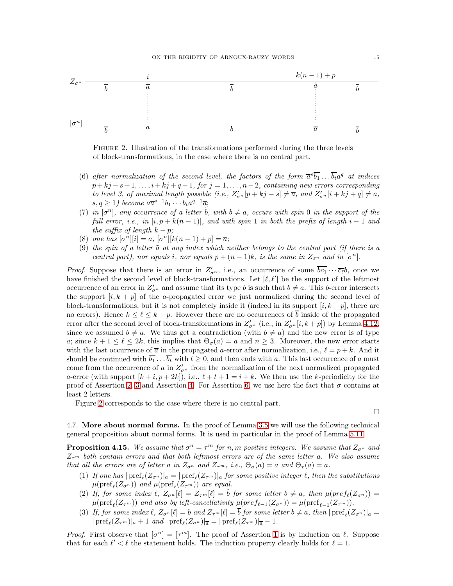

<span id="page-14-1"></span>Figure 2. Illustration of the transformations performed during the three levels of block-transformations, in the case where there is no central part.

- <span id="page-14-0"></span>(6) after normalization of the second level, the factors of the form  $\overline{a}^s\overline{b_1} \dots \overline{b_t} a^q$  at indices  $p + kj - s + 1, \ldots, i + kj + q - 1$ , for  $j = 1, \ldots, n - 2$ , containing new errors corresponding to level 3, of maximal length possible (i.e.,  $Z'_{\sigma^n}[p+kj-s] \neq \overline{a}$ , and  $Z'_{\sigma^n}[i+kj+q] \neq a$ ,  $s, q \geq 1$ ) become  $a\overline{a}^{s-1}b_1 \cdots b_t a^{q-1}\overline{a};$
- <span id="page-14-7"></span>(7) in  $[\sigma^n]$ , any occurrence of a letter  $\tilde{b}$ , with  $b \neq a$ , occurs with spin 0 in the support of the full error, i.e., in  $[i, p + k(n-1)]$ , and with spin 1 in both the prefix of length i – 1 and the suffix of length  $k - p$ ;
- <span id="page-14-8"></span><span id="page-14-6"></span>(8) one has  $[\sigma^n][i] = a, [\sigma^n][k(n-1) + p] = \overline{a};$
- (9) the spin of a letter  $\tilde{a}$  at any index which neither belongs to the central part (if there is a central part), nor equals i, nor equals  $p + (n - 1)k$ , is the same in  $Z_{\sigma^n}$  and in  $[\sigma^n]$ .

*Proof.* Suppose that there is an error in  $Z'_{\sigma^n}$ , i.e., an occurrence of some  $\overline{bc_1} \cdots \overline{c_{\ell}} b$ , once we have finished the second level of block-transformations. Let  $[\ell, \ell']$  be the support of the leftmost occurrence of an error in  $Z'_{\sigma^n}$  and assume that its type b is such that  $b \neq a$ . This b-error intersects the support  $[i, k + p]$  of the *a*-propagated error we just normalized during the second level of block-transformations, but it is not completely inside it (indeed in its support  $[i, k + p]$ , there are no errors). Hence  $k \leq \ell \leq k+p$ . However there are no occurrences of  $\overline{b}$  inside of the propagated error after the second level of block-transformations in  $Z'_{\sigma^n}$  (i.e., in  $Z'_{\sigma^n}[i,k+p]$ ) by Lemma [4.12,](#page-12-1) since we assumed  $b \neq a$ . We thus get a contradiction (with  $b \neq a$ ) and the new error is of type a; since  $k + 1 \leq \ell \leq 2k$ , this implies that  $\Theta_{\sigma}(a) = a$  and  $n \geq 3$ . Moreover, the new error starts with the last occurrence of  $\bar{a}$  in the propagated a-error after normalization, i.e.,  $\ell = p + k$ . And it should be continued with  $\overline{b_1} \dots \overline{b_t}$  with  $t \geq 0$ , and then ends with a. This last occurrence of a must come from the occurrence of a in  $Z'_{\sigma^n}$  from the normalization of the next normalized propagated a-error (with support  $[k + i, p + 2k]$ ), i.e.,  $\ell + t + 1 = i + k$ . We then use the k-periodicity for the proof of Assertion [2,](#page-13-3) [3](#page-13-4) and Assertion [4.](#page-13-5) For Assertion [6,](#page-14-0) we use here the fact that  $\sigma$  contains at least 2 letters.

Figure [2](#page-14-1) corresponds to the case where there is no central part.

 $\Box$ 

4.7. More about normal forms. In the proof of Lemma [3.5](#page-5-0) we will use the following technical general proposition about normal forms. It is used in particular in the proof of Lemma [5.11.](#page-22-0)

<span id="page-14-5"></span>**Proposition 4.15.** We assume that  $\sigma^n = \tau^m$  for n, m positive integers. We assume that  $Z_{\sigma^n}$  and  $Z_{\tau^m}$  both contain errors and that both leftmost errors are of the same letter a. We also assume that all the errors are of letter a in  $Z_{\sigma^n}$  and  $Z_{\tau^m}$ , i.e.,  $\Theta_{\sigma}(a) = a$  and  $\Theta_{\tau}(a) = a$ .

- <span id="page-14-2"></span>(1) If one has  $|\text{pref}_\ell(Z_{\sigma^n})|_a=|\text{pref}_\ell(Z_{\tau^m})|_a$  for some positive integer  $\ell$ , then the substitutions  $\mu(\text{pref}_\ell(Z_{\sigma^n}))$  and  $\mu(\text{pref}_\ell(Z_{\tau^m}))$  are equal.
- <span id="page-14-3"></span>(2) If, for some index  $\ell$ ,  $Z_{\sigma^n}[\ell] = Z_{\tau^m}[\ell] = \tilde{b}$  for some letter  $b \neq a$ , then  $\mu(\text{pref}_\ell(Z_{\sigma^n})) =$  $\mu(\text{pref}_\ell(Z_{\tau^m}))$  and also by left-cancellativity  $\mu(\text{pref}_{\ell-1}(Z_{\sigma^n})) = \mu(\text{pref}_{\ell-1}(Z_{\tau^m})).$
- <span id="page-14-4"></span>(3) If, for some index  $\ell$ ,  $Z_{\sigma^n}[\ell] = b$  and  $Z_{\tau^m}[\ell] = b$  for some letter  $b \neq a$ , then  $|\text{pref}_\ell(Z_{\sigma^n})|_a =$  $|\operatorname{pref}_{\ell}(Z_{\tau^m})|_a+1$  and  $|\operatorname{pref}_{\ell}(Z_{\sigma^n})|_{\overline{a}}=|\operatorname{pref}_{\ell}(Z_{\tau^m})|_{\overline{a}}-1$ .

*Proof.* First observe that  $[\sigma^n] = [\tau^m]$ . The proof of Assertion [1](#page-14-2) is by induction on  $\ell$ . Suppose that for each  $\ell' < \ell$  the statement holds. The induction property clearly holds for  $\ell = 1$ .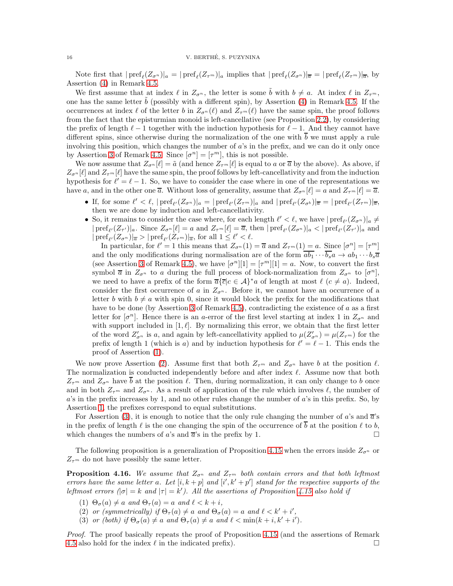Note first that  $|\text{pref}_\ell(Z_{\sigma^n})|_a = |\text{pref}_\ell(Z_{\tau^m})|_a$  implies that  $|\text{pref}_\ell(Z_{\sigma^n})|_{\overline{a}} = |\text{pref}_\ell(Z_{\tau^m})|_{\overline{a}}$ , by Assertion [\(4\)](#page-9-4) in Remark 4.5.

We first assume that at index  $\ell$  in  $Z_{\sigma^n}$ , the letter is some b with  $b \neq a$ . At index  $\ell$  in  $Z_{\tau^m}$ , one has the same letter  $b$  (possibly with a different spin), by Assertion  $(4)$  in Remark 4.5. If the occurrences at index  $\ell$  of the letter b in  $Z_{\sigma^n}(\ell)$  and  $Z_{\tau^m}(\ell)$  have the same spin, the proof follows from the fact that the episturmian monoid is left-cancellative (see Proposition [2.2\)](#page-2-2), by considering the prefix of length  $\ell-1$  together with the induction hypothesis for  $\ell-1$ . And they cannot have different spins, since otherwise during the normalization of the one with  $\overline{b}$  we must apply a rule involving this position, which changes the number of a's in the prefix, and we can do it only once by Assertion [3](#page-9-5) of Remark 4.5. Since  $[\sigma^n] = [\tau^m]$ , this is not possible.

We now assume that  $Z_{\sigma^n}[\ell] = \tilde{a}$  (and hence  $Z_{\tau^m}[\ell]$  is equal to a or  $\overline{a}$  by the above). As above, if  $Z_{\sigma^{n}}[\ell]$  and  $Z_{\tau^{m}}[\ell]$  have the same spin, the proof follows by left-cancellativity and from the induction hypothesis for  $\ell' = \ell - 1$ . So, we have to consider the case where in one of the representations we have a, and in the other one  $\overline{a}$ . Without loss of generality, assume that  $Z_{\sigma^n}[\ell] = a$  and  $Z_{\tau^m}[\ell] = \overline{a}$ .

- If, for some  $\ell' < \ell$ ,  $|\text{pref}_{\ell'}(Z_{\sigma^n})|_a = |\text{pref}_{\ell'}(Z_{\tau^m})|_a$  and  $|\text{pref}_{\ell'}(Z_{\sigma^b})|_a = |\text{pref}_{\ell'}(Z_{\tau^m})|_a$ then we are done by induction and left-cancellativity.
- So, it remains to consider the case where, for each length  $\ell' < \ell$ , we have  $|{\rm pref}_{\ell'}(Z_{\sigma^n})|_a \neq \ell'$  $|\operatorname{pref}_{\ell'}(Z_{\tau'})|_a$ . Since  $Z_{\sigma^n}[\ell] = a$  and  $Z_{\tau^m}[\ell] = \overline{a}$ , then  $|\operatorname{pref}_{\ell'}(Z_{\sigma^n})|_a < |\operatorname{pref}_{\ell'}(Z_{\tau'})|_a$  and  $|\operatorname{pref}_{\ell'}(Z_{\sigma^n})|_{\overline{\alpha}} > |\operatorname{pref}_{\ell'}(Z_{\tau^m})|_{\overline{\alpha}}$ , for all  $1 \leq \ell' < \ell$ .

In particular, for  $\ell' = 1$  this means that  $Z_{\sigma^n}(1) = \overline{a}$  and  $Z_{\tau^m}(1) = a$ . Since  $[\sigma^n] = [\tau^m]$ and the only modifications during normalisation are of the form  $\overline{ab_1 \cdots b_s a} \to ab_1 \cdots b_s \overline{a}$ (see Assertion [3](#page-9-5) of Remark 4.5), we have  $[\sigma^n][1] = [\tau^m][1] = a$ . Now, to convert the first symbol  $\bar{a}$  in  $Z_{\sigma^n}$  to a during the full process of block-normalization from  $Z_{\sigma^n}$  to  $[\sigma^n]$ , we need to have a prefix of the form  $\overline{a}\{\overline{c}|c \in A\}^*a$  of length at most  $\ell$   $(c \neq a)$ . Indeed, consider the first occurrence of a in  $Z_{\sigma^n}$ . Before it, we cannot have an occurrence of a letter b with  $b \neq a$  with spin 0, since it would block the prefix for the modifications that have to be done (by Assertion [3](#page-9-5) of Remark 4.5), contradicting the existence of a as a first letter for  $[\sigma^n]$ . Hence there is an a-error of the first level starting at index 1 in  $Z_{\sigma^n}$  and with support included in  $[1, \ell]$ . By normalizing this error, we obtain that the first letter of the word  $Z'_{\sigma^n}$  is a, and again by left-cancellativity applied to  $\mu(Z'_{\sigma^n}) = \mu(Z_{\tau^m})$  for the prefix of length 1 (which is a) and by induction hypothesis for  $\ell' = \ell - 1$ . This ends the proof of Assertion [\(1\)](#page-14-2).

We now prove Assertion [\(2\)](#page-14-3). Assume first that both  $Z_{\tau^m}$  and  $Z_{\sigma^n}$  have b at the position  $\ell$ . The normalization is conducted independently before and after index  $\ell$ . Assume now that both  $Z_{\tau^m}$  and  $Z_{\sigma^n}$  have  $\overline{b}$  at the position  $\ell$ . Then, during normalization, it can only change to b once and in both  $Z_{\tau^m}$  and  $Z_{\sigma^n}$ . As a result of application of the rule which involves  $\ell$ , the number of a's in the prefix increases by 1, and no other rules change the number of a's in this prefix. So, by Assertion [1,](#page-14-2) the prefixes correspond to equal substitutions.

For Assertion [\(3\)](#page-14-4), it is enough to notice that the only rule changing the number of a's and  $\bar{a}$ 's in the prefix of length  $\ell$  is the one changing the spin of the occurrence of  $\overline{b}$  at the position  $\ell$  to b, which changes the numbers of a's and  $\overline{a}$ 's in the prefix by 1.

The following proposition is a generalization of Proposition [4.15](#page-14-5) when the errors inside  $Z_{\sigma^n}$  or  $Z_{\tau^m}$  do not have possibly the same letter.

<span id="page-15-0"></span>**Proposition 4.16.** We assume that  $Z_{\sigma^n}$  and  $Z_{\tau^m}$  both contain errors and that both leftmost errors have the same letter a. Let  $[i, k + p]$  and  $[i', k' + p']$  stand for the respective supports of the leftmost errors  $(|\sigma| = k$  and  $|\tau| = k'$ ). All the assertions of Proposition [4.15](#page-14-5) also hold if

- (1)  $\Theta_{\sigma}(a) \neq a$  and  $\Theta_{\tau}(a) = a$  and  $\ell < k + i$ ,
- (2) or (symmetrically) if  $\Theta_{\tau}(a) \neq a$  and  $\Theta_{\sigma}(a) = a$  and  $\ell < k' + i'$ ,
- (3) or (both) if  $\Theta_{\sigma}(a) \neq a$  and  $\Theta_{\tau}(a) \neq a$  and  $\ell < \min(k + i, k' + i')$ .

Proof. The proof basically repeats the proof of Proposition [4.15](#page-14-5) (and the assertions of Remark 4.5 also hold for the index  $\ell$  in the indicated prefix).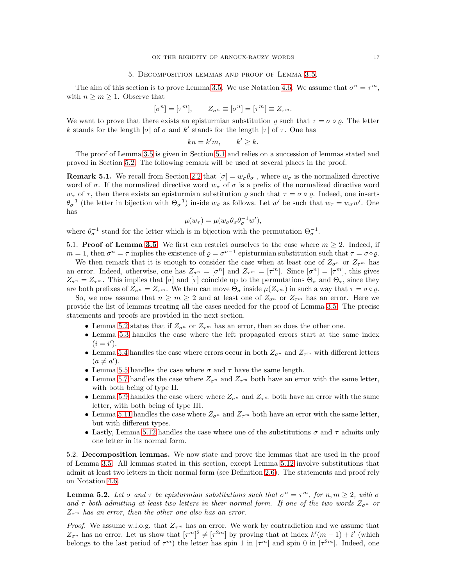### 5. Decomposition lemmas and proof of Lemma [3.5.](#page-5-0)

<span id="page-16-0"></span>The aim of this section is to prove Lemma [3.5.](#page-5-0) We use Notation [4.6.](#page-9-3) We assume that  $\sigma^n = \tau^m$ , with  $n \geq m \geq 1$ . Observe that

$$
[\sigma^n] = [\tau^m], \qquad Z_{\sigma^n} \equiv [\sigma^n] = [\tau^m] \equiv Z_{\tau^m}.
$$

We want to prove that there exists an episturmian substitution  $\rho$  such that  $\tau = \sigma \circ \rho$ . The letter k stands for the length  $|\sigma|$  of  $\sigma$  and k' stands for the length  $|\tau|$  of  $\tau$ . One has

$$
kn = k'm, \qquad k' \ge k.
$$

The proof of Lemma [3.5](#page-5-0) is given in Section [5.1](#page-16-1) and relies on a succession of lemmas stated and proved in Section [5.2.](#page-16-2) The following remark will be used at several places in the proof.

<span id="page-16-4"></span>**Remark 5.1.** We recall from Section [2.2](#page-2-3) that  $[\sigma] = w_{\sigma} \theta_{\sigma}$ , where  $w_{\sigma}$  is the normalized directive word of  $\sigma$ . If the normalized directive word  $w_{\sigma}$  of  $\sigma$  is a prefix of the normalized directive word  $w_{\tau}$  of  $\tau$ , then there exists an episturmian substitution  $\rho$  such that  $\tau = \sigma \circ \rho$ . Indeed, one inserts  $\theta_{\sigma}^{-1}$  (the letter in bijection with  $\Theta_{\sigma}^{-1}$ ) inside  $w_{\sigma}$  as follows. Let w' be such that  $w_{\tau} = w_{\sigma}w'$ . One has

$$
\mu(w_{\tau}) = \mu(w_{\sigma} \theta_{\sigma} \theta_{\sigma}^{-1} w'),
$$

<span id="page-16-1"></span>where  $\theta_{\sigma}^{-1}$  stand for the letter which is in bijection with the permutation  $\Theta_{\sigma}^{-1}$ .

5.1. **Proof of Lemma [3.5.](#page-5-0)** We first can restrict ourselves to the case where  $m \geq 2$ . Indeed, if  $m = 1$ , then  $\sigma^n = \tau$  implies the existence of  $\rho = \sigma^{n-1}$  episturmian substitution such that  $\tau = \sigma \circ \rho$ .

We then remark that it is enough to consider the case when at least one of  $Z_{\sigma^n}$  or  $Z_{\tau^m}$  has an error. Indeed, otherwise, one has  $Z_{\sigma^n} = [\sigma^n]$  and  $Z_{\tau^m} = [\tau^m]$ . Since  $[\sigma^n] = [\tau^m]$ , this gives  $Z_{\sigma^n} = Z_{\tau^m}$ . This implies that  $[\sigma]$  and  $[\tau]$  coincide up to the permutations  $\Theta_{\sigma}$  and  $\Theta_{\tau}$ , since they are both prefixes of  $Z_{\sigma^n} = Z_{\tau^m}$ . We then can move  $\Theta_{\sigma}$  inside  $\mu(Z_{\tau^m})$  in such a way that  $\tau = \sigma \circ \varrho$ .

So, we now assume that  $n \geq m \geq 2$  and at least one of  $Z_{\sigma^n}$  or  $Z_{\tau^m}$  has an error. Here we provide the list of lemmas treating all the cases needed for the proof of Lemma [3.5.](#page-5-0) The precise statements and proofs are provided in the next section.

- Lemma [5.2](#page-16-3) states that if  $Z_{\sigma^n}$  or  $Z_{\tau^m}$  has an error, then so does the other one.
- Lemma [5.3](#page-17-0) handles the case where the left propagated errors start at the same index  $(i = i').$
- Lemma [5.4](#page-17-1) handles the case where errors occur in both  $Z_{\sigma^n}$  and  $Z_{\tau^m}$  with different letters  $(a \neq a')$ .
- Lemma [5.5](#page-18-0) handles the case where  $\sigma$  and  $\tau$  have the same length.
- Lemma [5.7](#page-19-0) handles the case where  $Z_{\sigma^n}$  and  $Z_{\tau^m}$  both have an error with the same letter, with both being of type II.
- Lemma [5.9](#page-21-0) handles the case where where  $Z_{\sigma^n}$  and  $Z_{\tau^m}$  both have an error with the same letter, with both being of type III.
- Lemma [5.11](#page-22-0) handles the case where  $Z_{\sigma^n}$  and  $Z_{\tau^m}$  both have an error with the same letter, but with different types.
- Lastly, Lemma [5.12](#page-24-1) handles the case where one of the substitutions  $\sigma$  and  $\tau$  admits only one letter in its normal form.

<span id="page-16-2"></span>5.2. Decomposition lemmas. We now state and prove the lemmas that are used in the proof of Lemma [3.5.](#page-5-0) All lemmas stated in this section, except Lemma [5.12](#page-24-1) involve substitutions that admit at least two letters in their normal form (see Definition [2.6\)](#page-4-4). The statements and proof rely on Notation [4.6.](#page-9-3)

<span id="page-16-3"></span>**Lemma 5.2.** Let  $\sigma$  and  $\tau$  be episturmian substitutions such that  $\sigma^n = \tau^m$ , for  $n, m \geq 2$ , with  $\sigma$ and  $\tau$  both admitting at least two letters in their normal form. If one of the two words  $Z_{\sigma^{n}}$  or  $Z_{\tau^m}$  has an error, then the other one also has an error.

*Proof.* We assume w.l.o.g. that  $Z_{\tau^m}$  has an error. We work by contradiction and we assume that  $Z_{\sigma^n}$  has no error. Let us show that  $[\tau^m]^2 \neq [\tau^{2m}]$  by proving that at index  $k'(m-1) + i'$  (which belongs to the last period of  $\tau^m$ ) the letter has spin 1 in  $[\tau^m]$  and spin 0 in  $[\tau^{2m}]$ . Indeed, one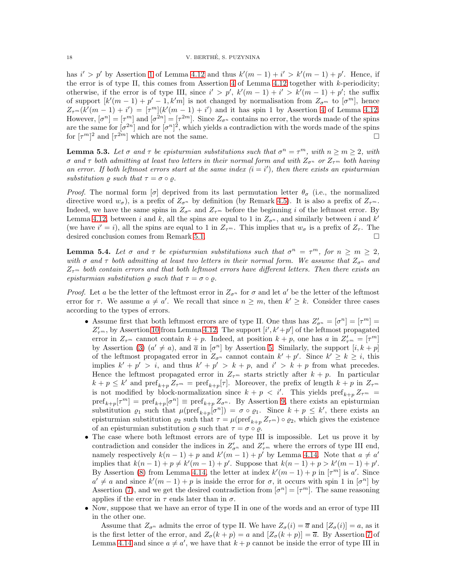has  $i' > p'$  by Assertion [1](#page-12-3) of Lemma [4.12](#page-12-1) and thus  $k'(m-1) + i' > k'(m-1) + p'$ . Hence, if the error is of type II, this comes from Assertion [4](#page-12-5) of Lemma  $4.12$  together with k-periodicity; otherwise, if the error is of type III, since  $i' > p'$ ,  $k'(m-1) + i' > k'(m-1) + p'$ ; the suffix of support  $[k'(m-1) + p' - 1, k'm]$  is not changed by normalisation from  $Z_{\sigma^m}$  to  $[\sigma^m]$ , hence  $Z_{\tau^m}(k'(m-1) + i') = [\tau^m](k'(m-1) + i')$  and it has spin 1 by Assertion [4](#page-12-5) of Lemma [4.12.](#page-12-1) However,  $[\sigma^n] = [\tau^m]$  and  $[\sigma^{2n}] = [\tau^{2m}]$ . Since  $Z_{\sigma^n}$  contains no error, the words made of the spins are the same for  $[\sigma^{2n}]$  and for  $[\sigma^n]^2$ , which yields a contradiction with the words made of the spins for  $[\tau^m]^2$  and  $[\tau^{2m}]$  which are not the same.

<span id="page-17-0"></span>**Lemma 5.3.** Let  $\sigma$  and  $\tau$  be episturmian substitutions such that  $\sigma^n = \tau^m$ , with  $n \ge m \ge 2$ , with σ and τ both admitting at least two letters in their normal form and with  $Z_{\sigma^n}$  or  $Z_{\tau^m}$  both having an error. If both leftmost errors start at the same index  $(i = i')$ , then there exists an episturmian substitution  $\rho$  such that  $\tau = \sigma \circ \rho$ .

*Proof.* The normal form [σ] deprived from its last permutation letter  $\theta_{\sigma}$  (i.e., the normalized directive word  $w_{\sigma}$ ), is a prefix of  $Z_{\sigma^n}$  by definition (by Remark 4.5). It is also a prefix of  $Z_{\tau^m}$ . Indeed, we have the same spins in  $Z_{\sigma^n}$  and  $Z_{\tau^m}$  before the beginning i of the leftmost error. By Lemma [4.12,](#page-12-1) between i and k, all the spins are equal to 1 in  $Z_{\sigma^n}$ , and similarly between i and k' (we have  $i' = i$ ), all the spins are equal to 1 in  $Z_{\tau^m}$ . This implies that  $w_{\sigma}$  is a prefix of  $Z_{\tau}$ . The desired conclusion comes from Remark [5.1.](#page-16-4)

<span id="page-17-1"></span>**Lemma 5.4.** Let  $\sigma$  and  $\tau$  be episturmian substitutions such that  $\sigma^n = \tau^m$ , for  $n \ge m \ge 2$ , with  $\sigma$  and  $\tau$  both admitting at least two letters in their normal form. We assume that  $Z_{\sigma^n}$  and  $Z_{\tau^m}$  both contain errors and that both leftmost errors have different letters. Then there exists an episturmian substitution  $\rho$  such that  $\tau = \sigma \circ \rho$ .

*Proof.* Let a be the letter of the leftmost error in  $Z_{\sigma^n}$  for  $\sigma$  and let a' be the letter of the leftmost error for  $\tau$ . We assume  $a \neq a'$ . We recall that since  $n \geq m$ , then  $k' \geq k$ . Consider three cases according to the types of errors.

- Assume first that both leftmost errors are of type II. One thus has  $Z'_{\sigma^n} = [\sigma^n] = [\tau^m] =$  $Z'_{\tau^m}$ , by Assertion [10](#page-12-6) from Lemma [4.12.](#page-12-1) The support  $[i', k' + p']$  of the leftmost propagated error in  $Z_{\tau^m}$  cannot contain  $k+p$ . Indeed, at position  $k+p$ , one has a in  $Z'_{\tau^m} = [\tau^m]$ by Assertion [\(3\)](#page-12-7)  $(a' \neq a)$ , and  $\overline{a}$  in  $[\sigma^n]$  by Assertion [5.](#page-12-8) Similarly, the support  $[i, k + p]$ of the leftmost propagated error in  $Z_{\sigma^n}$  cannot contain  $k' + p'$ . Since  $k' \geq k \geq i$ , this implies  $k' + p' > i$ , and thus  $k' + p' > k + p$ , and  $i' > k + p$  from what precedes. Hence the leftmost propagated error in  $Z_{\tau^m}$  starts strictly after  $k + p$ . In particular  $k + p \leq k'$  and  $\text{pref}_{k+p} Z_{\tau^m} = \text{pref}_{k+p} [\tau]$ . Moreover, the prefix of length  $k + p$  in  $Z_{\tau^m}$ is not modified by block-normalization since  $k + p < i'$ . This yields pref<sub>k+p</sub>  $Z_{\tau^m}$  =  $\text{pref}_{k+p}[\tau^m] = \text{pref}_{k+p}[\sigma^n] \equiv \text{pref}_{k+p} Z_{\sigma^n}$ . By Assertion [9,](#page-12-4) there exists an episturmian substitution  $\varrho_1$  such that  $\mu(\text{pref}_{k+p}[\sigma^n]) = \sigma \circ \varrho_1$ . Since  $k+p \leq k'$ , there exists an episturmian substitution  $\varrho_2$  such that  $\tau = \mu(\text{pref}_{k+n} Z_{\tau^m}) \circ \varrho_2$ , which gives the existence of an episturmian substitution  $\rho$  such that  $\tau = \sigma \circ \rho$ .
- The case where both leftmost errors are of type III is impossible. Let us prove it by contradiction and consider the indices in  $Z'_{\sigma^n}$  and  $Z'_{\tau^m}$  where the errors of type III end, namely respectively  $k(n-1) + p$  and  $k'(m-1) + p'$  by Lemma [4.14.](#page-13-1) Note that  $a \neq a'$ implies that  $k(n-1) + p \neq k'(m-1) + p'$ . Suppose that  $k(n-1) + p > k'(m-1) + p'$ . By Assertion [\(8\)](#page-14-6) from Lemma [4.14,](#page-13-1) the letter at index  $k'(m-1) + p$  in  $[\tau^m]$  is a'. Since  $a' \neq a$  and since  $k'(m-1) + p$  is inside the error for  $\sigma$ , it occurs with spin 1 in  $[\sigma^n]$  by Assertion [\(7\)](#page-14-7), and we get the desired contradiction from  $[\sigma^n] = [\tau^m]$ . The same reasoning applies if the error in  $\tau$  ends later than in  $\sigma$ .
- Now, suppose that we have an error of type II in one of the words and an error of type III in the other one.

Assume that  $Z_{\sigma^n}$  admits the error of type II. We have  $Z_{\sigma}(i) = \overline{a}$  and  $[Z_{\sigma}(i)] = a$ , as it is the first letter of the error, and  $Z_{\sigma}(k+p) = a$  and  $[Z_{\sigma}(k+p)] = \overline{a}$ . By Assertion [7](#page-14-7) of Lemma [4.14](#page-13-1) and since  $a \neq a'$ , we have that  $k + p$  cannot be inside the error of type III in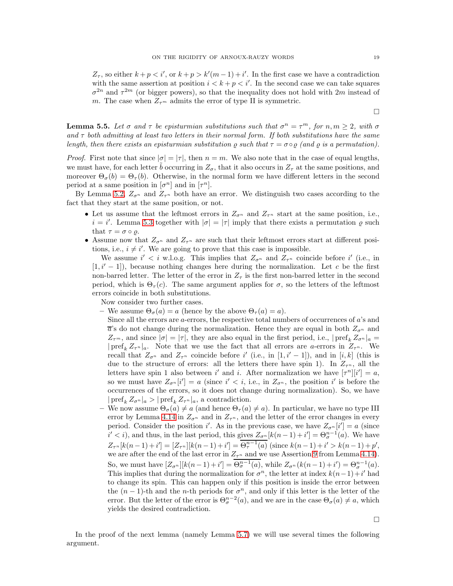$Z_{\tau}$ , so either  $k + p < i'$ , or  $k + p > k'(m - 1) + i'$ . In the first case we have a contradiction with the same assertion at position  $i < k + p < i'$ . In the second case we can take squares  $\sigma^{2n}$  and  $\tau^{2m}$  (or bigger powers), so that the inequality does not hold with  $2m$  instead of m. The case when  $Z_{\tau^m}$  admits the error of type II is symmetric.

<span id="page-18-0"></span>**Lemma 5.5.** Let  $\sigma$  and  $\tau$  be episturmian substitutions such that  $\sigma^n = \tau^m$ , for  $n, m \geq 2$ , with  $\sigma$ and  $\tau$  both admitting at least two letters in their normal form. If both substitutions have the same length, then there exists an episturmian substitution  $\rho$  such that  $\tau = \sigma \circ \rho$  (and  $\rho$  is a permutation).

*Proof.* First note that since  $|\sigma| = |\tau|$ , then  $n = m$ . We also note that in the case of equal lengths, we must have, for each letter  $\tilde{b}$  occurring in  $Z_{\sigma}$ , that it also occurs in  $Z_{\tau}$  at the same positions, and moreover  $\Theta_{\sigma}(b) = \Theta_{\tau}(b)$ . Otherwise, in the normal form we have different letters in the second period at a same position in  $[\sigma^n]$  and in  $[\tau^n]$ .

By Lemma [5.2,](#page-16-3)  $Z_{\sigma^n}$  and  $Z_{\tau^n}$  both have an error. We distinguish two cases according to the fact that they start at the same position, or not.

- Let us assume that the leftmost errors in  $Z_{\sigma^n}$  and  $Z_{\tau^n}$  start at the same position, i.e.,  $i = i'$ . Lemma [5.3](#page-17-0) together with  $|\sigma| = |\tau|$  imply that there exists a permutation  $\rho$  such that  $\tau = \sigma \circ \rho$ .
- Assume now that  $Z_{\sigma^n}$  and  $Z_{\tau^n}$  are such that their leftmost errors start at different positions, i.e.,  $i \neq i'$ . We are going to prove that this case is impossible.

We assume  $i' < i$  w.l.o.g. This implies that  $Z_{\sigma^n}$  and  $Z_{\tau^n}$  coincide before i' (i.e., in  $[1, i' - 1]$ , because nothing changes here during the normalization. Let c be the first non-barred letter. The letter of the error in  $Z<sub>\tau</sub>$  is the first non-barred letter in the second period, which is  $\Theta_{\tau}(c)$ . The same argument applies for  $\sigma$ , so the letters of the leftmost errors coincide in both substitutions.

Now consider two further cases.

- We assume  $\Theta_{\sigma}(a) = a$  (hence by the above  $\Theta_{\tau}(a) = a$ ).
	- Since all the errors are  $a$ -errors, the respective total numbers of occurrences of  $a$ 's and  $\bar{a}$ 's do not change during the normalization. Hence they are equal in both  $Z_{\sigma^n}$  and  $Z_{\tau^m}$ , and since  $|\sigma|=|\tau|$ , they are also equal in the first period, i.e.,  $|\text{pref}_k Z_{\sigma^n}|_a =$  $|\text{pref}_k Z_{\tau^n}|_a$ . Note that we use the fact that all errors are a-errors in  $Z_{\tau^n}$ . We recall that  $Z_{\sigma^n}$  and  $Z_{\tau^n}$  coincide before i' (i.e., in [1, i' – 1]), and in [i, k] (this is due to the structure of errors: all the letters there have spin 1). In  $Z_{\tau^n}$ , all the letters have spin 1 also between i' and i. After normalization we have  $[\tau^n][i'] = a$ , so we must have  $Z_{\sigma^n}[i'] = a$  (since  $i' < i$ , i.e., in  $Z_{\sigma^n}$ , the position i' is before the occurrences of the errors, so it does not change during normalization). So, we have  $|\operatorname{pref}_k Z_{\sigma^n}|_a>|\operatorname{pref}_k Z_{\tau^n}|_a$ , a contradiction.
- We now assume  $\Theta_{\sigma}(a) \neq a$  (and hence  $\Theta_{\tau}(a) \neq a$ ). In particular, we have no type III error by Lemma [4.14](#page-13-1) in  $Z_{\sigma^n}$  and in  $Z_{\tau^n}$ , and the letter of the error changes in every period. Consider the position i'. As in the previous case, we have  $Z_{\sigma^n}[i'] = a$  (since  $i' < i$ , and thus, in the last period, this gives  $Z_{\sigma^n}[k(n-1)+i'] = \Theta_{\sigma}^{n-1}(a)$ . We have  $Z_{\tau^{n}}[k(n-1)+i'] = [Z_{\tau^{n}}][k(n-1)+i'] = \overline{\Theta_{\tau}^{n-1}(a)}$  (since  $k(n-1)+i' > k(n-1)+p'$ ), we are after the end of the last error in  $Z_{\tau^n}$  and we use Assertion [9](#page-14-8) from Lemma [4.14\)](#page-13-1). So, we must have  $[Z_{\sigma^n}][k(n-1)+i'] = \overline{\Theta_{\sigma}^{n-1}(a)}$ , while  $Z_{\sigma^n}(k(n-1)+i') = \Theta_{\sigma}^{n-1}(a)$ . This implies that during the normalization for  $\sigma^n$ , the letter at index  $k(n-1)+i'$  had to change its spin. This can happen only if this position is inside the error between the  $(n-1)$ -th and the *n*-th periods for  $\sigma^n$ , and only if this letter is the letter of the error. But the letter of the error is  $\Theta_{\sigma}^{n-2}(a)$ , and we are in the case  $\Theta_{\sigma}(a) \neq a$ , which yields the desired contradiction.

 $\Box$ 

In the proof of the next lemma (namely Lemma [5.7\)](#page-19-0) we will use several times the following argument.

 $\Box$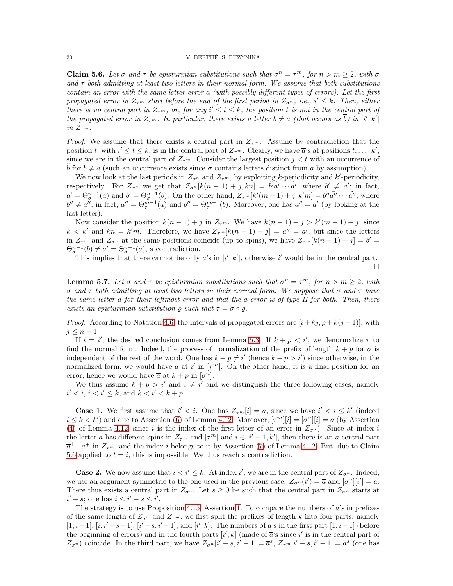<span id="page-19-1"></span>**Claim 5.6.** Let  $\sigma$  and  $\tau$  be episturmian substitutions such that  $\sigma^n = \tau^m$ , for  $n > m \geq 2$ , with  $\sigma$ and  $\tau$  both admitting at least two letters in their normal form. We assume that both substitutions contain an error with the same letter error a (with possibly different types of errors). Let the first propagated error in  $Z_{\tau^m}$  start before the end of the first period in  $Z_{\sigma^n}$ , i.e., i'  $\leq k$ . Then, either there is no central part in  $Z_{\tau^m}$ , or, for any  $i' \leq t \leq k$ , the position t is not in the central part of the propagated error in  $Z_{\tau^m}$ . In particular, there exists a letter  $b \neq a$  (that occurs as  $\overline{b}$ ) in  $[i',k']$ in  $Z_{\tau^m}$ .

*Proof.* We assume that there exists a central part in  $Z_{\tau^m}$ . Assume by contradiction that the position t, with  $i' \leq t \leq k$ , is in the central part of  $Z_{\tau^m}$ . Clearly, we have  $\overline{a}$ 's at positions  $t, \ldots, k'$ , since we are in the central part of  $Z_{\tau^m}$ . Consider the largest position  $j < t$  with an occurrence of b for  $b \neq a$  (such an occurrence exists since  $\sigma$  contains letters distinct from a by assumption).

We now look at the last periods in  $Z_{\sigma^n}$  and  $Z_{\tau^m}$ , by exploiting k-periodicity and k'-periodicity, respectively. For  $Z_{\sigma^n}$  we get that  $Z_{\sigma^n}[k(n-1)+j,kn] = \tilde{b'}\tilde{a'}\cdots\tilde{a'},$  where  $b' \neq a'$ ; in fact,  $a' = \Theta_{\sigma}^{n-1}(a)$  and  $b' = \Theta_{\sigma}^{n-1}(b)$ . On the other hand,  $Z_{\tau^m}[k'(m-1) + j, k'm] = \tilde{b''}a'' \cdots a''$ , where  $b'' \neq a''$ ; in fact,  $a'' = \Theta_{\tau}^{m-1}(a)$  and  $b'' = \Theta_{\tau}^{m-1}(b)$ . Moreover, one has  $a'' = a'$  (by looking at the last letter).

Now consider the position  $k(n-1) + j$  in  $Z_{\tau^m}$ . We have  $k(n-1) + j > k'(m-1) + j$ , since  $k < k'$  and  $kn = k'm$ . Therefore, we have  $Z_{\tau^m}[k(n-1)+j] = \tilde{a''} = \tilde{a'}$ , but since the letters in  $Z_{\tau^m}$  and  $Z_{\sigma^n}$  at the same positions coincide (up to spins), we have  $Z_{\tau^m}[k(n-1)+j] = b' =$  $\Theta_{\sigma}^{n-1}(b) \neq a' = \Theta_{\sigma}^{n-1}(a)$ , a contradiction.

This implies that there cannot be only a's in  $[i', k']$ , otherwise i' would be in the central part.

 $\Box$ 

<span id="page-19-0"></span>**Lemma 5.7.** Let  $\sigma$  and  $\tau$  be episturmian substitutions such that  $\sigma^n = \tau^m$ , for  $n > m \geq 2$ , with σ and τ both admitting at least two letters in their normal form. We suppose that σ and τ have the same letter a for their leftmost error and that the a-error is of type II for both. Then, there exists an episturmian substitution  $\rho$  such that  $\tau = \sigma \circ \rho$ .

*Proof.* According to Notation [4.6,](#page-9-3) the intervals of propagated errors are  $[i + kj, p + k(j + 1)]$ , with  $j \leq n-1$ .

If  $i = i'$ , the desired conclusion comes from Lemma [5.3.](#page-17-0) If  $k + p \langle i'$ , we denormalize  $\tau$  to find the normal form. Indeed, the process of normalization of the prefix of length  $k + p$  for  $\sigma$  is independent of the rest of the word. One has  $k + p \neq i'$  (hence  $k + p > i'$ ) since otherwise, in the normalized form, we would have a at i' in  $[\tau^m]$ . On the other hand, it is a final position for an error, hence we would have  $\overline{a}$  at  $k + p$  in  $[\sigma^n]$ .

We thus assume  $k + p > i'$  and  $i \neq i'$  and we distinguish the three following cases, namely  $i' < i, i < i' \leq k$ , and  $k < i' < k + p$ .

**Case 1.** We first assume that  $i' < i$ . One has  $Z_{\tau^m}[i] = \overline{a}$ , since we have  $i' < i \leq k'$  (indeed  $i \leq k \lt k'$ ) and due to Assertion [\(6\)](#page-12-9) of Lemma [4.12.](#page-12-1) Moreover,  $[\tau^m][i] = [\sigma^n][i] = a$  (by Assertion [\(4\)](#page-12-5) of Lemma [4.12,](#page-12-1) since i is the index of the first letter of an error in  $Z_{\sigma^n}$ ). Since at index i the letter a has different spins in  $Z_{\tau^m}$  and  $[\tau^m]$  and  $i \in [i'+1, k']$ , then there is an a-central part  $\overline{a}^+ \mid a^+$  in  $Z_{\tau^m}$ , and the index *i* belongs to it by Assertion [\(7\)](#page-12-10) of Lemma [4.12.](#page-12-1) But, due to Claim [5.6](#page-19-1) applied to  $t = i$ , this is impossible. We thus reach a contradiction.

**Case 2.** We now assume that  $i < i' \leq k$ . At index i', we are in the central part of  $Z_{\sigma^n}$ . Indeed, we use an argument symmetric to the one used in the previous case:  $Z_{\sigma^n}(i') = \overline{a}$  and  $[\sigma^n][i'] = a$ . There thus exists a central part in  $Z_{\sigma^n}$ . Let  $s \geq 0$  be such that the central part in  $Z_{\sigma^n}$  starts at  $i'-s$ ; one has  $i \leq i'-s \leq i'$ .

The strategy is to use Proposition [4.15,](#page-14-5) Assertion [1.](#page-14-2) To compare the numbers of  $a$ 's in prefixes of the same length of  $Z_{\sigma^n}$  and  $Z_{\tau^m}$ , we first split the prefixes of length k into four parts, namely [1, i - 1], [i, i' - s - 1], [i' - s, i' - 1], and [i', k]. The numbers of a's in the first part [1, i - 1] (before the beginning of errors) and in the fourth parts  $[i', k]$  (made of  $\overline{a}$ 's since i' is in the central part of  $Z_{\sigma^{n}}$ ) coincide. In the third part, we have  $Z_{\sigma^{n}}[i'-s,i'-1]=\overline{a}^{s}, Z_{\tau^{m}}[i'-s,i'-1]=a^{s}$  (one has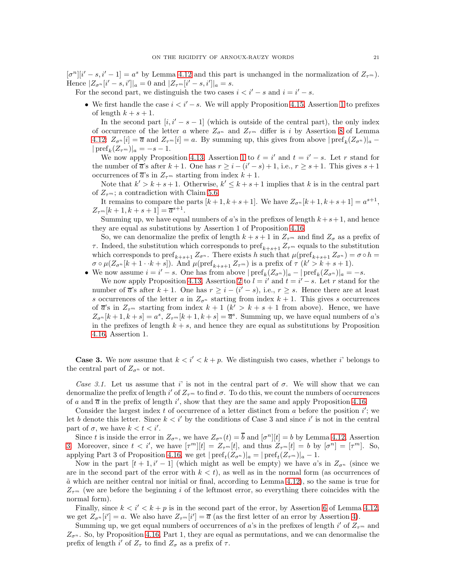$[\sigma^n][i'-s,i'-1] = a^s$  by Lemma [4.12](#page-12-1) and this part is unchanged in the normalization of  $Z_{\tau^m}$ ). Hence  $|Z_{\sigma^n}[i'-s,i']|_a=0$  and  $|Z_{\tau^m}[i'-s,i']|_a=s$ .

For the second part, we distinguish the two cases  $i < i' - s$  and  $i = i' - s$ .

• We first handle the case  $i < i' - s$ . We will apply Proposition [4.15,](#page-14-5) Assertion [1](#page-14-2) to prefixes of length  $k + s + 1$ .

In the second part  $[i, i' - s - 1]$  (which is outside of the central part), the only index of occurrence of the letter a where  $Z_{\sigma^n}$  and  $Z_{\tau^m}$  differ is i by Assertion [8](#page-12-0) of Lemma [4.12:](#page-12-1)  $Z_{\sigma^n}[i] = \overline{a}$  and  $Z_{\tau^m}[i] = a$ . By summing up, this gives from above  $|{\rm pref}_k(Z_{\sigma^n})|_a$  $|\operatorname{pref}_k(Z_{\tau^m})|_a = -s-1.$ 

We now apply Proposition [4.13,](#page-13-6) Assertion [1](#page-13-7) to  $\ell = i'$  and  $t = i' - s$ . Let r stand for the number of  $\overline{a}$ 's after  $k + 1$ . One has  $r \geq i - (i' - s) + 1$ , i.e.,  $r \geq s + 1$ . This gives  $s + 1$ occurrences of  $\overline{a}$ 's in  $Z_{\tau^m}$  starting from index  $k+1$ .

Note that  $k' > k + s + 1$ . Otherwise,  $k' \leq k + s + 1$  implies that k is in the central part of  $Z_{\tau^m}$ ; a contradiction with Claim [5.6.](#page-19-1)

It remains to compare the parts  $[k+1, k+s+1]$ . We have  $Z_{\sigma^n}[k+1, k+s+1] = a^{s+1}$ ,  $Z_{\tau^m}[k+1,k+s+1] = \overline{a}^{s+1}.$ 

Summing up, we have equal numbers of a's in the prefixes of length  $k+s+1$ , and hence they are equal as substitutions by Assertion 1 of Proposition [4.16.](#page-15-0)

So, we can denormalize the prefix of length  $k + s + 1$  in  $Z_{\tau^m}$  and find  $Z_{\sigma}$  as a prefix of τ. Indeed, the substitution which corresponds to  $\text{pref}_{k+s+1} Z_{\tau^m}$  equals to the substitution which corresponds to pref<sub>k+s+1</sub>  $Z_{\sigma^n}$ . There exists h such that  $\mu(\text{pref}_{k+s+1} Z_{\sigma^n}) = \sigma \circ h =$  $\sigma \circ \mu(Z_{\sigma^n}[k+1 \cdot k+s])$ . And  $\mu(\text{pref}_{k+s+1} Z_{\tau^m})$  is a prefix of  $\tau(k' > k+s+1)$ .

• We now assume  $i = i' - s$ . One has from above  $|\text{pref}_k(Z_{\sigma^n})|_a - |\text{pref}_k(Z_{\sigma^n})|_a = -s$ .

We now apply Proposition [4.13,](#page-13-6) Assertion [2](#page-13-8) to  $l = i'$  and  $t = i' - s$ . Let r stand for the number of  $\overline{a}$ 's after  $k + 1$ . One has  $r \geq i - (i' - s)$ , i.e.,  $r \geq s$ . Hence there are at least s occurrences of the letter a in  $Z_{\sigma^n}$  starting from index  $k+1$ . This gives s occurrences of  $\bar{a}$ 's in  $Z_{\tau^m}$  starting from index  $k+1$  ( $k' > k+s+1$  from above). Hence, we have  $Z_{\sigma^n}[k+1,k+s]=a^s, Z_{\tau^m}[k+1,k+s]=\overline{a}^s$ . Summing up, we have equal numbers of a's in the prefixes of length  $k + s$ , and hence they are equal as substitutions by Proposition [4.16,](#page-15-0) Assertion 1.

**Case 3.** We now assume that  $k < i' < k + p$ . We distinguish two cases, whether i' belongs to the central part of  $Z_{\sigma^n}$  or not.

Case 3.1. Let us assume that i' is not in the central part of  $\sigma$ . We will show that we can denormalize the prefix of length i' of  $Z_{\tau^m}$  to find  $\sigma$ . To do this, we count the numbers of occurrences of a and  $\overline{a}$  in the prefix of length i', show that they are the same and apply Proposition [4.16.](#page-15-0)

Consider the largest index  $\tilde{t}$  of occurrence of a letter distinct from a before the position  $i'$ ; we let b denote this letter. Since  $k < i'$  by the conditions of Case 3 and since i' is not in the central part of  $\sigma$ , we have  $k < t < i'$ .

Since t is inside the error in  $Z_{\sigma^n}$ , we have  $Z_{\sigma^n}(t) = \overline{b}$  and  $[\sigma^n][t] = b$  by Lemma [4.12,](#page-12-1) Assertion [3.](#page-12-7) Moreover, since  $t < i'$ , we have  $[\tau^m][t] = Z_{\tau^m}[t]$ , and thus  $Z_{\tau^m}[t] = b$  by  $[\sigma^n] = [\tau^m]$ . So, applying Part 3 of Proposition [4.16,](#page-15-0) we get  $|\text{pref}_t(Z_{\sigma^n})|_a = |\text{pref}_t(Z_{\tau^m})|_a - 1$ .

Now in the part  $[t + 1, i' - 1]$  (which might as well be empty) we have a's in  $Z_{\sigma^n}$  (since we are in the second part of the error with  $k < t$ , as well as in the normal form (as occurrences of  $\tilde{a}$  which are neither central nor initial or final, according to Lemma [4.12\)](#page-12-1), so the same is true for  $Z_{\tau^m}$  (we are before the beginning i of the leftmost error, so everything there coincides with the normal form).

Finally, since  $k < i' < k + p$  is in the second part of the error, by Assertion [6](#page-12-9) of Lemma [4.12,](#page-12-1) we get  $Z_{\sigma^n}[i'] = a$ . We also have  $Z_{\tau^m}[i'] = \overline{a}$  (as the first letter of an error by Assertion [4\)](#page-12-5).

Summing up, we get equal numbers of occurrences of a's in the prefixes of length i' of  $Z_{\tau^m}$  and  $Z_{\sigma^n}$ . So, by Proposition [4.16,](#page-15-0) Part 1, they are equal as permutations, and we can denormalise the prefix of length  $i'$  of  $Z_{\tau}$  to find  $Z_{\sigma}$  as a prefix of  $\tau$ .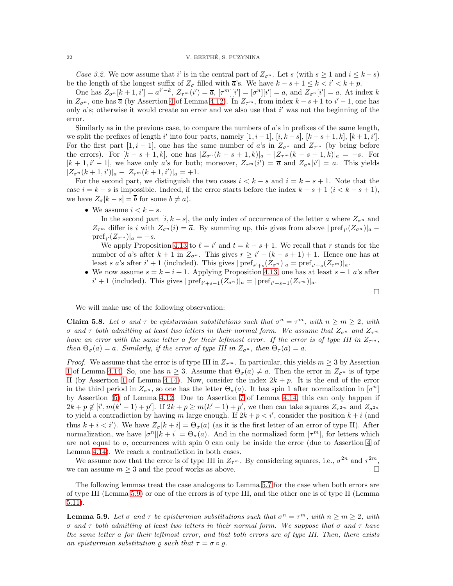### 22 V. BERTHE, S. PUZYNINA ´

Case 3.2. We now assume that i' is in the central part of  $Z_{\sigma^n}$ . Let s (with  $s \geq 1$  and  $i \leq k - s$ ) be the length of the longest suffix of  $Z_{\sigma}$  filled with  $\overline{a}$ 's. We have  $k - s + 1 \leq k < i' < k + p$ .

One has  $Z_{\sigma^n}[k+1, i] = a^{i'-k}, Z_{\tau^m}(i') = \overline{a}, [\tau^m][i'] = [\sigma^n][i'] = a$ , and  $Z_{\sigma^n}[i'] = a$ . At index k in  $Z_{\sigma^n}$ , one has  $\overline{a}$  (by Assertion [4](#page-12-5) of Lemma [4.12\)](#page-12-1). In  $Z_{\tau^m}$ , from index  $k - s + 1$  to  $i' - 1$ , one has only  $a$ 's; otherwise it would create an error and we also use that  $i'$  was not the beginning of the error.

Similarly as in the previous case, to compare the numbers of  $a$ 's in prefixes of the same length, we split the prefixes of length i' into four parts, namely  $[1, i - 1]$ ,  $[i, k - s]$ ,  $[k - s + 1, k]$ ,  $[k + 1, i']$ . For the first part  $[1, i - 1]$ , one has the same number of a's in  $Z_{\sigma^n}$  and  $Z_{\tau^m}$  (by being before the errors). For  $[k - s + 1, k]$ , one has  $|Z_{\sigma^n}(k - s + 1, k)|_a - |Z_{\tau^m}(k - s + 1, k)|_a = -s$ . For  $[k+1, i'-1]$ , we have only a's for both; moreover,  $Z_{\tau^m}(i') = \overline{a}$  and  $Z_{\sigma^n}[i'] = a$ . This yields  $|Z_{\sigma^n}(k+1,i')|_a - |Z_{\tau^m}(k+1,i')|_a = +1.$ 

For the second part, we distinguish the two cases  $i < k - s$  and  $i = k - s + 1$ . Note that the case  $i = k - s$  is impossible. Indeed, if the error starts before the index  $k - s + 1$  ( $i < k - s + 1$ ), we have  $Z_{\sigma}[k-s] = \overline{b}$  for some  $b \neq a$ .

• We assume  $i < k - s$ .

In the second part  $[i, k - s]$ , the only index of occurrence of the letter a where  $Z_{\sigma^n}$  and  $Z_{\tau^m}$  differ is i with  $Z_{\sigma^n}(i) = \overline{a}$ . By summing up, this gives from above  $|{\rm pref}_{i'}(Z_{\sigma^n})|_a$  –  $\text{pref}_{i'}(Z_{\tau^m})|_a=-s.$ 

We apply Proposition [4.13](#page-13-6) to  $\ell = i'$  and  $t = k - s + 1$ . We recall that r stands for the number of a's after  $k + 1$  in  $Z_{\sigma^n}$ . This gives  $r \geq i' - (k - s + 1) + 1$ . Hence one has at least s a's after i' + 1 (included). This gives  $|{\rm pref}_{i'+s}(Z_{\sigma^n})|_a = {\rm pref}_{i'+s}(Z_{\tau^m})|_a$ .

• We now assume  $s = k - i + 1$ . Applying Proposition [4.13,](#page-13-6) one has at least  $s - 1$  a's after  $i' + 1$  (included). This gives  $|{\rm pref}_{i'+s-1}(Z_{\sigma^n})|_a = |{\rm pref}_{i'+s-1}(Z_{\tau^m})|_a$ .

$$
\Box
$$

We will make use of the following observation:

<span id="page-21-1"></span>Claim 5.8. Let  $\sigma$  and  $\tau$  be episturmian substitutions such that  $\sigma^n = \tau^m$ , with  $n \geq m \geq 2$ , with σ and τ both admitting at least two letters in their normal form. We assume that  $Z_{\sigma^n}$  and  $Z_{\tau^m}$ have an error with the same letter a for their leftmost error. If the error is of type III in  $Z_{\tau^m}$ , then  $\Theta_{\sigma}(a) = a$ . Similarly, if the error of type III in  $Z_{\sigma^n}$ , then  $\Theta_{\tau}(a) = a$ .

*Proof.* We assume that the error is of type III in  $Z_{\tau^m}$ . In particular, this yields  $m \geq 3$  by Assertion [1](#page-13-9) of Lemma [4.14.](#page-13-1) So, one has  $n \geq 3$ . Assume that  $\Theta_{\sigma}(a) \neq a$ . Then the error in  $Z_{\sigma^n}$  is of type II (by Assertion [1](#page-13-9) of Lemma [4.14\)](#page-13-1). Now, consider the index  $2k + p$ . It is the end of the error in the third period in  $Z_{\sigma^n}$ , so one has the letter  $\Theta_{\sigma}(a)$ . It has spin 1 after normalization in  $[\sigma^n]$ by Assertion [\(5\)](#page-12-8) of Lemma [4.12.](#page-12-1) Due to Assertion [7](#page-14-7) of Lemma [4.14,](#page-13-1) this can only happen if  $2k + p \notin [i', m(k'-1) + p']$ . If  $2k + p \ge m(k'-1) + p'$ , we then can take squares  $Z_{\tau^{2m}}$  and  $Z_{\sigma^{2n}}$ to yield a contradiction by having m large enough. If  $2k + p < i'$ , consider the position  $k + i$  (and thus  $k + i < i'$ ). We have  $Z_{\sigma}[k + i] = \overline{\Theta_{\sigma}(a)}$  (as it is the first letter of an error of type II). After normalization, we have  $[\sigma^n][k+i] = \Theta_{\sigma}(a)$ . And in the normalized form  $[\tau^m]$ , for letters which are not equal to a, occurrences with spin 0 can only be inside the error (due to Assertion [4](#page-13-5) of Lemma [4.14\)](#page-13-1). We reach a contradiction in both cases.

We assume now that the error is of type III in  $Z_{\tau^m}$ . By considering squares, i.e.,  $\sigma^{2n}$  and  $\tau^{2m}$ , we can assume  $m \geq 3$  and the proof works as above.

The following lemmas treat the case analogous to Lemma [5.7](#page-19-0) for the case when both errors are of type III (Lemma [5.9\)](#page-21-0) or one of the errors is of type III, and the other one is of type II (Lemma [5.11\)](#page-22-0).

<span id="page-21-0"></span>**Lemma 5.9.** Let  $\sigma$  and  $\tau$  be episturmian substitutions such that  $\sigma^n = \tau^m$ , with  $n \ge m \ge 2$ , with σ and τ both admitting at least two letters in their normal form. We suppose that σ and τ have the same letter a for their leftmost error, and that both errors are of type III. Then, there exists an episturmian substitution  $\rho$  such that  $\tau = \sigma \circ \rho$ .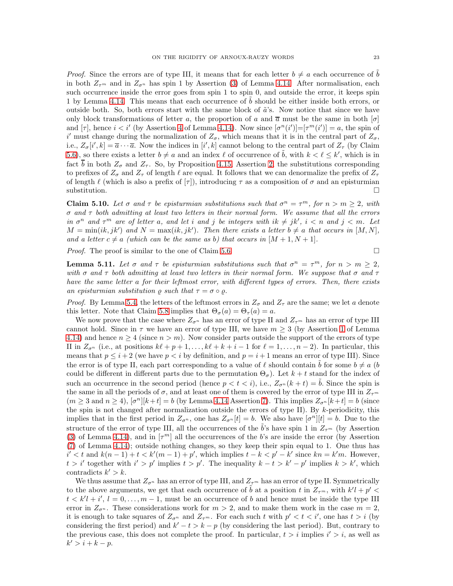*Proof.* Since the errors are of type III, it means that for each letter  $b \neq a$  each occurrence of  $\tilde{b}$ in both  $Z_{\tau^m}$  and in  $Z_{\sigma^n}$  has spin 1 by Assertion [\(3\)](#page-13-4) of Lemma [4.14.](#page-13-1) After normalisation, each such occurrence inside the error goes from spin 1 to spin 0, and outside the error, it keeps spin 1 by Lemma [4.14.](#page-13-1) This means that each occurrence of b should be either inside both errors, or outside both. So, both errors start with the same block of  $\tilde{a}$ 's. Now notice that since we have only block transformations of letter a, the proportion of a and  $\overline{a}$  must be the same in both  $[\sigma]$ and  $[\tau]$ , hence  $i < i'$  (by Assertion [4](#page-13-5) of Lemma [4.14\)](#page-13-1). Now since  $[\sigma^n(i')] = [\tau^m(i')] = a$ , the spin of i' must change during the normalization of  $Z_{\sigma}$ , which means that it is in the central part of  $Z_{\sigma}$ , i.e.,  $Z_{\sigma}[i',k] = \overline{a} \cdots \overline{a}$ . Now the indices in  $[i',k]$  cannot belong to the central part of  $Z_{\tau}$  (by Claim [5.6\)](#page-19-1), so there exists a letter  $b \neq a$  and an index  $\ell$  of occurrence of  $\tilde{b}$ , with  $k < \ell \leq k'$ , which is in fact  $\overline{b}$  in both  $Z_{\sigma}$  and  $Z_{\tau}$ . So, by Proposition [4.15,](#page-14-5) Assertion [2,](#page-14-3) the substitutions corresponding to prefixes of  $Z_{\sigma}$  and  $Z_{\tau}$  of length  $\ell$  are equal. It follows that we can denormalize the prefix of  $Z_{\tau}$ of length  $\ell$  (which is also a prefix of  $[\tau]$ ), introducing  $\tau$  as a composition of  $\sigma$  and an episturmian  $\Box$ substitution.

<span id="page-22-1"></span>**Claim 5.10.** Let  $\sigma$  and  $\tau$  be episturmian substitutions such that  $\sigma^n = \tau^m$ , for  $n > m \geq 2$ , with  $\sigma$  and  $\tau$  both admitting at least two letters in their normal form. We assume that all the errors in  $\sigma^n$  and  $\tau^m$  are of letter a, and let i and j be integers with  $ik \neq jk'$ ,  $i < n$  and  $j < m$ . Let  $M = min(ik, jk')$  and  $N = max(ik, jk')$ . Then there exists a letter  $b \neq a$  that occurs in [M, N], and a letter  $c \neq a$  (which can be the same as b) that occurs in  $[M + 1, N + 1]$ .

*Proof.* The proof is similar to the one of Claim [5.6.](#page-19-1)

<span id="page-22-0"></span>**Lemma 5.11.** Let  $\sigma$  and  $\tau$  be episturmian substitutions such that  $\sigma^n = \tau^m$ , for  $n > m \geq 2$ , with  $\sigma$  and  $\tau$  both admitting at least two letters in their normal form. We suppose that  $\sigma$  and  $\tau$ have the same letter a for their leftmost error, with different types of errors. Then, there exists an episturmian substitution  $\rho$  such that  $\tau = \sigma \circ \rho$ .

*Proof.* By Lemma [5.4,](#page-17-1) the letters of the leftmost errors in  $Z_{\sigma}$  and  $Z_{\tau}$  are the same; we let a denote this letter. Note that Claim [5.8](#page-21-1) implies that  $\Theta_{\sigma}(a) = \Theta_{\tau}(a) = a$ .

We now prove that the case where  $Z_{\sigma^n}$  has an error of type II and  $Z_{\tau^m}$  has an error of type III cannot hold. Since in  $\tau$  we have an error of type III, we have  $m \geq 3$  (by Assertion [1](#page-13-9) of Lemma [4.14\)](#page-13-1) and hence  $n \geq 4$  (since  $n > m$ ). Now consider parts outside the support of the errors of type II in  $Z_{\sigma^n}$  (i.e., at positions  $k\ell + p + 1, \ldots, k\ell + k + i - 1$  for  $\ell = 1, \ldots, n - 2$ ). In particular, this means that  $p \leq i+2$  (we have  $p < i$  by definition, and  $p = i+1$  means an error of type III). Since the error is of type II, each part corresponding to a value of  $\ell$  should contain b for some  $b \neq a$  (b) could be different in different parts due to the permutation  $\Theta_{\sigma}$ ). Let  $k + t$  stand for the index of such an occurrence in the second period (hence  $p < t < i$ ), i.e.,  $Z_{\sigma} (k + t) = b$ . Since the spin is the same in all the periods of  $\sigma$ , and at least one of them is covered by the error of type III in  $Z_{\tau^m}$  $(m \geq 3 \text{ and } n \geq 4), [\sigma^n][k+t] = b$  (by Lemma [4.14](#page-13-1) Assertion [7\)](#page-14-7). This implies  $Z_{\sigma^n}[k+t] = b$  (since the spin is not changed after normalization outside the errors of type II). By  $k$ -periodicity, this implies that in the first period in  $Z_{\sigma^n}$ , one has  $Z_{\sigma^n}[t] = b$ . We also have  $[\sigma^n][t] = b$ . Due to the structure of the error of type III, all the occurrences of the b's have spin 1 in  $Z_{\tau^m}$  (by Assertion [\(3\)](#page-13-4) of Lemma [4.14\)](#page-13-1), and in  $[\tau^m]$  all the occurrences of the b's are inside the error (by Assertion [\(7\)](#page-14-7) of Lemma [4.14\)](#page-13-1); outside nothing changes, so they keep their spin equal to 1. One thus has  $i' < t$  and  $k(n-1) + t < k'(m-1) + p'$ , which implies  $t - k < p' - k'$  since  $kn = k'm$ . However,  $t > i'$  together with  $i' > p'$  implies  $t > p'$ . The inequality  $k - t > k' - p'$  implies  $k > k'$ , which contradicts  $k' > k$ .

We thus assume that  $Z_{\sigma^n}$  has an error of type III, and  $Z_{\tau^m}$  has an error of type II. Symmetrically to the above arguments, we get that each occurrence of  $\tilde{b}$  at a position t in  $Z_{\tau^m}$ , with  $k'l + p' <$  $t < k'l + i', l = 0, \ldots, m - 1$ , must be an occurrence of b and hence must be inside the type III error in  $Z_{\sigma^n}$ . These considerations work for  $m > 2$ , and to make them work in the case  $m = 2$ , it is enough to take squares of  $Z_{\sigma^n}$  and  $Z_{\tau^m}$ . For each such t with  $p' < t < i'$ , one has  $t > i$  (by considering the first period) and  $k'-t > k-p$  (by considering the last period). But, contrary to the previous case, this does not complete the proof. In particular,  $t > i$  implies  $i' > i$ , as well as  $k' > i + k - p.$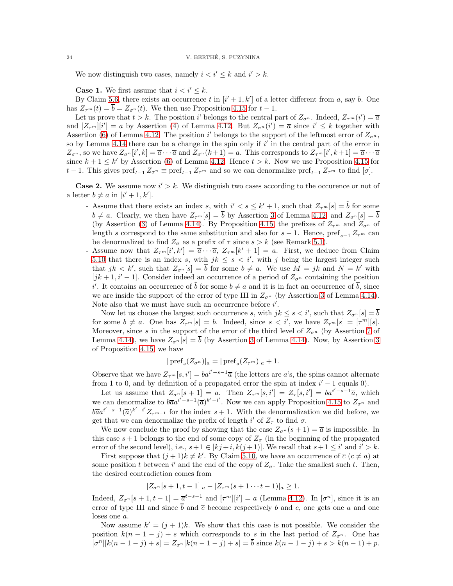We now distinguish two cases, namely  $i < i' \leq k$  and  $i' > k$ .

**Case 1.** We first assume that  $i < i' \leq k$ .

By Claim [5.6,](#page-19-1) there exists an occurrence t in  $[i' + 1, k']$  of a letter different from a, say b. One has  $Z_{\tau^m}(t) = \overline{b} = Z_{\sigma^n}(t)$ . We then use Proposition [4.15](#page-14-5) for  $t - 1$ .

Let us prove that  $t > k$ . The position i' belongs to the central part of  $Z_{\sigma^n}$ . Indeed,  $Z_{\tau^m}(i') = \overline{a}$ and  $[Z_{\tau^m}][i'] = a$  by Assertion [\(4\)](#page-12-5) of Lemma [4.12.](#page-12-1) But  $Z_{\sigma^n}(i') = \overline{a}$  since  $i' \leq k$  together with Assertion [\(6\)](#page-12-9) of Lemma [4.12.](#page-12-1) The position i' belongs to the support of the leftmost error of  $Z_{\sigma^n}$ , so by Lemma [4.14](#page-13-1) there can be a change in the spin only if  $i'$  in the central part of the error in  $Z_{\sigma^n}$ , so we have  $Z_{\sigma^n}[i',k] = \overline{a} \cdots \overline{a}$  and  $Z_{\sigma^n}(k+1) = a$ . This corresponds to  $Z_{\tau^m}[i',k+1] = \overline{a} \cdots \overline{a}$ since  $k + 1 \leq k'$  by Assertion [\(6\)](#page-12-9) of Lemma [4.12.](#page-12-1) Hence  $t > k$ . Now we use Proposition [4.15](#page-14-5) for t − 1. This gives  $\text{pref}_{t-1} Z_{\sigma^n} \equiv \text{pref}_{t-1} Z_{\tau^m}$  and so we can denormalize  $\text{pref}_{t-1} Z_{\tau^m}$  to find  $[\sigma]$ .

**Case 2.** We assume now  $i' > k$ . We distinguish two cases according to the occurence or not of a letter  $b \neq a$  in  $[i'+1, k']$ .

- Assume that there exists an index s, with  $i' < s \leq k' + 1$ , such that  $Z_{\tau^m}[s] = \tilde{b}$  for some  $b \neq a$ . Clearly, we then have  $Z_{\tau^m}[s] = \overline{b}$  by Assertion [3](#page-12-7) of Lemma [4.12,](#page-12-1) and  $Z_{\sigma^n}[s] = \overline{b}$ (by Assertion [\(3\)](#page-13-4) of Lemma [4.14\)](#page-13-1). By Proposition [4.15,](#page-14-5) the prefixes of  $Z_{\tau^m}$  and  $Z_{\sigma^n}$  of length s correspond to the same substitution and also for  $s-1$ . Hence,  $\text{pref}_{s-1} Z_{\tau^m}$  can be denormalized to find  $Z_{\sigma}$  as a prefix of  $\tau$  since  $s > k$  (see Remark [5.1\)](#page-16-4).
- Assume now that  $Z_{\tau^m}[i',k'] = \overline{a} \cdots \overline{a}, Z_{\tau^m}[k'+1] = a$ . First, we deduce from Claim [5.10](#page-22-1) that there is an index s, with  $jk \leq s \leq i'$ , with j being the largest integer such that  $jk < k'$ , such that  $Z_{\sigma^n}[s] = \overline{b}$  for some  $b \neq a$ . We use  $\overline{M} = jk$  and  $\overline{N} = k'$  with [jk + 1, i' – 1]. Consider indeed an occurrence of a period of  $Z_{\sigma^n}$  containing the position i'. It contains an occurrence of  $\tilde{b}$  for some  $b \neq a$  and it is in fact an occurrence of  $\overline{b}$ , since we are inside the support of the error of type III in  $Z_{\sigma^n}$  (by Assertion [3](#page-13-4) of Lemma [4.14\)](#page-13-1). Note also that we must have such an occurrence before  $i'$ .

Now let us choose the largest such occurrence s, with  $jk \leq s < i'$ , such that  $Z_{\sigma^n}[s] = \overline{b}$ for some  $b \neq a$ . One has  $Z_{\tau^m}[s] = b$ . Indeed, since  $s < i'$ , we have  $Z_{\tau^m}[s] = [\tau^m][s]$ . Moreover, since s in the support of the error of the third level of  $Z_{\sigma^n}$  (by Assertion [7](#page-14-7) of Lemma [4.14\)](#page-13-1), we have  $Z_{\sigma^{n}}[s] = \overline{b}$  (by Assertion [3](#page-14-4) of Lemma 4.14). Now, by Assertion 3 of Proposition [4.15,](#page-14-5) we have

$$
|\operatorname{pref}_s(Z_{\sigma^n})|_a=|\operatorname{pref}_s(Z_{\tau^m})|_a+1.
$$

Observe that we have  $Z_{\tau^m}[s, i']=ba^{i'-s-1}\overline{a}$  (the letters are a's, the spins cannot alternate from 1 to 0, and by definition of a propagated error the spin at index  $i' - 1$  equals 0).

Let us assume that  $Z_{\sigma^n}[s+1] = a$ . Then  $Z_{\tau^m}[s,i'] = Z_{\tau}[s,i'] = ba^{i'-s-1}\overline{a}$ , which we can denormalize to  $b\overline{a}a^{i'-s-1}(\overline{a})^{k'-i'}$ . Now we can apply Proposition [4.15](#page-14-5) to  $Z_{\sigma^n}$  and  $b\overline{a}a^{i'-s-1}(\overline{a})^{k'-i'}Z_{\tau^{m-1}}$  for the index  $s+1$ . With the denormalization we did before, we get that we can denormalize the prefix of length  $i'$  of  $Z_{\tau}$  to find  $\sigma$ .

We now conclude the proof by showing that the case  $Z_{\sigma^n}(s+1) = \overline{a}$  is impossible. In this case  $s+1$  belongs to the end of some copy of  $Z_{\sigma}$  (in the beginning of the propagated error of the second level), i.e.,  $s+1 \in [kj+i, k(j+1)]$ . We recall that  $s+1 \leq i'$  and  $i' > k$ .

First suppose that  $(j+1)k \neq k'$ . By Claim [5.10,](#page-22-1) we have an occurrence of  $\overline{c}$   $(c \neq a)$  at some position t between i' and the end of the copy of  $Z_{\sigma}$ . Take the smallest such t. Then, the desired contradiction comes from

$$
|Z_{\sigma^n}[s+1,t-1]|_a - |Z_{\tau^m}(s+1 \cdots t-1)|_a \geq 1.
$$

Indeed,  $Z_{\sigma^n}[s+1,t-1] = \overline{a}^{t-s-1}$  and  $[\tau^m][i'] = a$  (Lemma [4.12\)](#page-12-1). In  $[\sigma^n]$ , since it is an error of type III and since  $\overline{b}$  and  $\overline{c}$  become respectively b and c, one gets one a and one loses one a.

Now assume  $k' = (j + 1)k$ . We show that this case is not possible. We consider the position  $k(n-1-j) + s$  which corresponds to s in the last period of  $Z_{\sigma^n}$ . One has  $[\sigma^n][k(n-1-j)+s] = Z_{\sigma^n}[k(n-1-j)+s] = \overline{b}$  since  $k(n-1-j)+s > k(n-1)+p$ .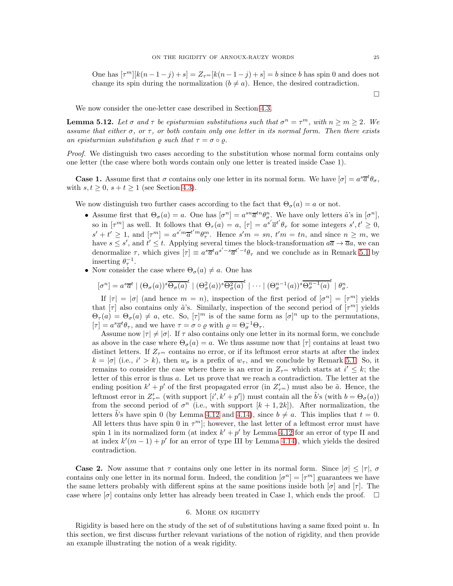One has  $[\tau^m][k(n-1-j)+s] = Z_{\tau^m}[k(n-1-j)+s] = b$  since b has spin 0 and does not change its spin during the normalization  $(b \neq a)$ . Hence, the desired contradiction.

 $\Box$ 

We now consider the one-letter case described in Section [4.3.](#page-9-0)

<span id="page-24-1"></span>**Lemma 5.12.** Let  $\sigma$  and  $\tau$  be episturmian substitutions such that  $\sigma^n = \tau^m$ , with  $n \ge m \ge 2$ . We assume that either  $\sigma$ , or  $\tau$ , or both contain only one letter in its normal form. Then there exists an episturmian substitution  $\rho$  such that  $\tau = \sigma \circ \rho$ .

Proof. We distinguish two cases according to the substitution whose normal form contains only one letter (the case where both words contain only one letter is treated inside Case 1).

**Case 1.** Assume first that  $\sigma$  contains only one letter in its normal form. We have  $[\sigma] = a^s \overline{a}^t \theta_{\sigma}$ , with  $s, t \geq 0$ ,  $s + t \geq 1$  (see Section [4.3\)](#page-9-0).

We now distinguish two further cases according to the fact that  $\Theta_{\sigma}(a) = a$  or not.

- Assume first that  $\Theta_{\sigma}(a) = a$ . One has  $[\sigma^n] = a^{sn}\overline{a}^{tn}\theta_{\sigma}^n$ . We have only letters  $\tilde{a}$ 's in  $[\sigma^n]$ , so in  $[\tau^m]$  as well. It follows that  $\Theta_{\tau}(a) = a$ ,  $[\tau] = a^{s'} \overline{a}^{t'} \theta_{\tau}$  for some integers  $s', t' \geq 0$ ,  $s' + t' \geq 1$ , and  $[\tau^m] = a^{s'm}\overline{a}^{t'm}\theta_{\tau}^m$ . Hence  $s'm = sn$ ,  $t'm = tn$ , and since  $n \geq m$ , we have  $s \leq s'$ , and  $t' \leq t$ . Applying several times the block-transformation  $a\overline{a} \to \overline{a}a$ , we can denormalize  $\tau$ , which gives  $[\tau] \equiv a^s \overline{a}^t a^{s'-s} \overline{a}^{t'-t} \theta_{\tau}$  and we conclude as in Remark [5.1](#page-16-4) by inserting  $\theta_{\tau}^{-1}$ .
- Now consider the case where  $\Theta_{\sigma}(a) \neq a$ . One has

$$
[\sigma^n] = a^s \overline{a}^t \mid (\Theta_\sigma(a))^s \overline{\Theta_\sigma(a)}^t \mid (\Theta_\sigma^2(a))^s \overline{\Theta_\sigma^2(a)}^t \mid \cdots \mid (\Theta_\sigma^{n-1}(a))^s \overline{\Theta_\sigma^{n-1}(a)}^t \mid \theta_\sigma^n.
$$

If  $|\tau| = |\sigma|$  (and hence  $m = n$ ), inspection of the first period of  $[\sigma^n] = [\tau^m]$  yields that  $[\tau]$  also contains only  $\tilde{a}$ 's. Similarly, inspection of the second period of  $[\tau^m]$  yields  $\Theta_{\tau}(a) = \Theta_{\sigma}(a) \neq a$ , etc. So,  $[\tau]^m$  is of the same form as  $[\sigma]^n$  up to the permutations,  $[\tau] = a^s \overline{a}^t \theta_\tau$ , and we have  $\tau = \sigma \circ \varrho$  with  $\varrho = \Theta_{\sigma}^{-1} \Theta_{\tau}$ .

Assume now  $|\tau| \neq |\sigma|$ . If  $\tau$  also contains only one letter in its normal form, we conclude as above in the case where  $\Theta_{\sigma}(a) = a$ . We thus assume now that  $[\tau]$  contains at least two distinct letters. If  $Z_{\tau^m}$  contains no error, or if its leftmost error starts at after the index  $k = |\sigma|$  (i.e.,  $i' > k$ ), then  $w_{\sigma}$  is a prefix of  $w_{\tau}$ , and we conclude by Remark [5.1.](#page-16-4) So, it remains to consider the case where there is an error in  $Z_{\tau^m}$  which starts at  $i' \leq k$ ; the letter of this error is thus a. Let us prove that we reach a contradiction. The letter at the ending position  $k' + p'$  of the first propagated error (in  $Z'_{\tau^m}$ ) must also be  $\tilde{a}$ . Hence, the leftmost error in  $Z'_{\tau^m}$  (with support  $[i', k' + p']$ ) must contain all the  $\tilde{b}$ 's (with  $b = \Theta_{\sigma}(a)$ ) from the second period of  $\sigma^n$  (i.e., with support  $[k+1, 2k]$ ). After normalization, the letters  $\tilde{b}$ 's have spin 0 (by Lemma [4.12](#page-12-1) and [4.14\)](#page-13-1), since  $b \neq a$ . This implies that  $t = 0$ . All letters thus have spin 0 in  $\tau^m$ ; however, the last letter of a leftmost error must have spin 1 in its normalized form (at index  $k' + p'$  by Lemma [4.12](#page-12-1) for an error of type II and at index  $k'(m-1) + p'$  for an error of type III by Lemma [4.14\)](#page-13-1), which yields the desired contradiction.

**Case 2.** Now assume that  $\tau$  contains only one letter in its normal form. Since  $|\sigma| < |\tau|$ ,  $\sigma$ contains only one letter in its normal form. Indeed, the condition  $[\sigma^n] = [\tau^m]$  guarantees we have the same letters probably with different spins at the same positions inside both  $[\sigma]$  and  $[\tau]$ . The case where  $[\sigma]$  contains only letter has already been treated in Case 1, which ends the proof.  $\Box$ 

### 6. More on rigidity

<span id="page-24-0"></span>Rigidity is based here on the study of the set of of substitutions having a same fixed point u. In this section, we first discuss further relevant variations of the notion of rigidity, and then provide an example illustrating the notion of a weak rigidity.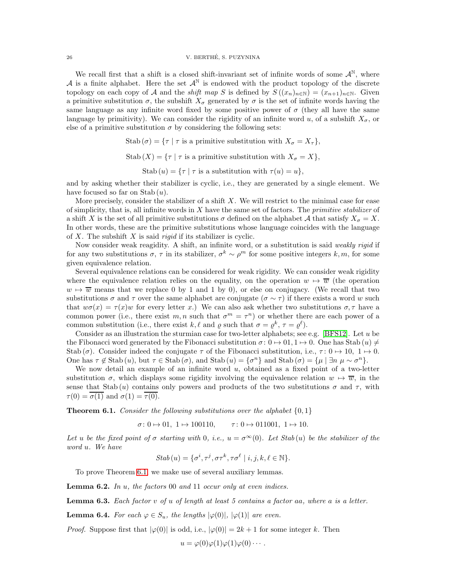We recall first that a shift is a closed shift-invariant set of infinite words of some  $\mathcal{A}^{\mathbb{N}}$ , where A is a finite alphabet. Here the set  $\mathcal{A}^{\mathbb{N}}$  is endowed with the product topology of the discrete topology on each copy of A and the *shift map* S is defined by  $S((x_n)_{n\in\mathbb{N}}) = (x_{n+1})_{n\in\mathbb{N}}$ . Given a primitive substitution  $\sigma$ , the subshift  $X_{\sigma}$  generated by  $\sigma$  is the set of infinite words having the same language as any infinite word fixed by some positive power of  $\sigma$  (they all have the same language by primitivity). We can consider the rigidity of an infinite word u, of a subshift  $X_{\sigma}$ , or else of a primitive substitution  $\sigma$  by considering the following sets:

> Stab  $(\sigma) = {\tau | \tau$  is a primitive substitution with  $X_{\sigma} = X_{\tau}$ , Stab  $(X) = \{ \tau \mid \tau \text{ is a primitive substitution with } X_{\sigma} = X \},$ Stab  $(u) = \{\tau \mid \tau \text{ is a substitution with } \tau(u) = u\},\$

and by asking whether their stabilizer is cyclic, i.e., they are generated by a single element. We have focused so far on Stab  $(u)$ .

More precisely, consider the stabilizer of a shift  $X$ . We will restrict to the minimal case for ease of simplicity, that is, all infinite words in  $X$  have the same set of factors. The *primitive stabilizer* of a shift X is the set of all primitive substitutions  $\sigma$  defined on the alphabet A that satisfy  $X_{\sigma} = X$ . In other words, these are the primitive substitutions whose language coincides with the language of  $X$ . The subshift  $X$  is said *rigid* if its stabilizer is cyclic.

Now consider weak reagidity. A shift, an infinite word, or a substitution is said *weakly rigid* if for any two substitutions  $\sigma$ ,  $\tau$  in its stabilizer,  $\sigma^k \sim \rho^m$  for some positive integers k, m, for some given equivalence relation.

Several equivalence relations can be considered for weak rigidity. We can consider weak rigidity where the equivalence relation relies on the equality, on the operation  $w \mapsto \overline{w}$  (the operation  $w \mapsto \overline{w}$  means that we replace 0 by 1 and 1 by 0), or else on conjugacy. (We recall that two substitutions  $\sigma$  and  $\tau$  over the same alphabet are conjugate  $(\sigma \sim \tau)$  if there exists a word w such that  $w\sigma(x) = \tau(x)w$  for every letter x.) We can also ask whether two substitutions  $\sigma, \tau$  have a common power (i.e., there exist m, n such that  $\sigma^m = \tau^n$ ) or whether there are each power of a common substitution (i.e., there exist k,  $\ell$  and  $\varrho$  such that  $\sigma = \varrho^k$ ,  $\tau = \varrho^{\ell}$ ).

Consider as an illustration the sturmian case for two-letter alphabets; see e.g. [\[BFS12\]](#page-28-6). Let  $u$  be the Fibonacci word generated by the Fibonacci substitution  $\sigma: 0 \mapsto 0.1, 1 \mapsto 0$ . One has Stab  $(u) \neq$ Stab (σ). Consider indeed the conjugate  $\tau$  of the Fibonacci substitution, i.e.,  $\tau: 0 \mapsto 10$ ,  $1 \mapsto 0$ . One has  $\tau \notin \text{Stab}(u)$ , but  $\tau \in \text{Stab}(\sigma)$ , and  $\text{Stab}(u) = {\sigma^n}$  and  $\text{Stab}(\sigma) = {\mu | \exists n \mu \sim \sigma^n}.$ 

We now detail an example of an infinite word  $u$ , obtained as a fixed point of a two-letter substitution  $\sigma$ , which displays some rigidity involving the equivalence relation  $w \mapsto \overline{w}$ , in the sense that Stab  $(u)$  contains only powers and products of the two substitutions  $\sigma$  and  $\tau$ , with  $\tau(0) = \overline{\sigma(1)}$  and  $\sigma(1) = \overline{\tau(0)}$ .

<span id="page-25-0"></span>**Theorem 6.1.** Consider the following substitutions over the alphabet  $\{0, 1\}$ 

 $\sigma: 0 \mapsto 01, 1 \mapsto 100110, \quad \tau: 0 \mapsto 011001, 1 \mapsto 10.$ 

Let u be the fixed point of  $\sigma$  starting with 0, i.e.,  $u = \sigma^{\infty}(0)$ . Let Stab(u) be the stabilizer of the word u. We have

$$
Stab(u) = \{\sigma^i, \tau^j, \sigma\tau^k, \tau\sigma^\ell \mid i, j, k, \ell \in \mathbb{N}\}.
$$

To prove Theorem [6.1,](#page-25-0) we make use of several auxiliary lemmas.

<span id="page-25-1"></span>**Lemma 6.2.** In  $u$ , the factors 00 and 11 occur only at even indices.

**Lemma 6.3.** Each factor  $v$  of  $u$  of length at least 5 contains a factor aa, where  $a$  is a letter.

<span id="page-25-2"></span>**Lemma 6.4.** For each  $\varphi \in S_u$ , the lengths  $|\varphi(0)|$ ,  $|\varphi(1)|$  are even.

*Proof.* Suppose first that  $|\varphi(0)|$  is odd, i.e.,  $|\varphi(0)| = 2k + 1$  for some integer k. Then

 $u = \varphi(0)\varphi(1)\varphi(1)\varphi(0)\cdots$ .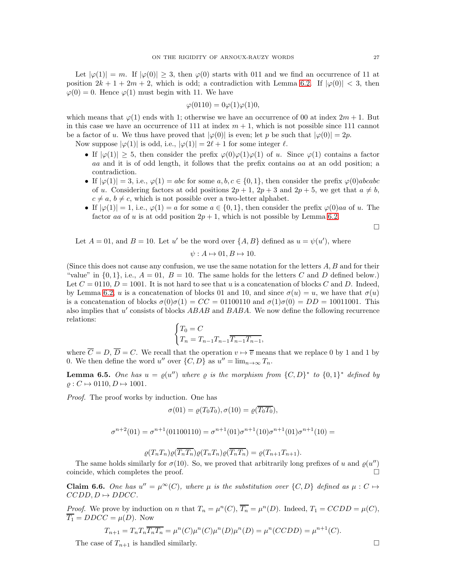Let  $|\varphi(1)| = m$ . If  $|\varphi(0)| \geq 3$ , then  $\varphi(0)$  starts with 011 and we find an occurrence of 11 at position  $2k + 1 + 2m + 2$ , which is odd; a contradiction with Lemma [6.2.](#page-25-1) If  $|\varphi(0)| < 3$ , then  $\varphi(0) = 0$ . Hence  $\varphi(1)$  must begin with 11. We have

$$
\varphi(0110) = 0\varphi(1)\varphi(1)0,
$$

which means that  $\varphi(1)$  ends with 1; otherwise we have an occurrence of 00 at index  $2m + 1$ . But in this case we have an occurrence of 111 at index  $m + 1$ , which is not possible since 111 cannot be a factor of u. We thus have proved that  $|\varphi(0)|$  is even; let p be such that  $|\varphi(0)| = 2p$ .

Now suppose  $|\varphi(1)|$  is odd, i.e.,  $|\varphi(1)| = 2\ell + 1$  for some integer  $\ell$ .

- If  $|\varphi(1)| \geq 5$ , then consider the prefix  $\varphi(0)\varphi(1)\varphi(1)$  of u. Since  $\varphi(1)$  contains a factor aa and it is of odd length, it follows that the prefix contains aa at an odd position; a contradiction.
- If  $|\varphi(1)| = 3$ , i.e.,  $\varphi(1) = abc$  for some a, b,  $c \in \{0, 1\}$ , then consider the prefix  $\varphi(0)abcabc$ of u. Considering factors at odd positions  $2p + 1$ ,  $2p + 3$  and  $2p + 5$ , we get that  $a \neq b$ ,  $c \neq a, b \neq c$ , which is not possible over a two-letter alphabet.
- If  $|\varphi(1)| = 1$ , i.e.,  $\varphi(1) = a$  for some  $a \in \{0, 1\}$ , then consider the prefix  $\varphi(0)$ aa of u. The factor aa of u is at odd position  $2p + 1$ , which is not possible by Lemma [6.2.](#page-25-1)

 $\Box$ 

Let  $A = 01$ , and  $B = 10$ . Let u' be the word over  $\{A, B\}$  defined as  $u = \psi(u')$ , where

$$
\psi: A \mapsto 01, B \mapsto 10.
$$

(Since this does not cause any confusion, we use the same notation for the letters  $A, B$  and for their "value" in  $\{0, 1\}$ , i.e.,  $A = 01$ ,  $B = 10$ . The same holds for the letters C and D defined below.) Let  $C = 0110$ ,  $D = 1001$ . It is not hard to see that u is a concatenation of blocks C and D. Indeed, by Lemma [6.2,](#page-25-1) u is a concatenation of blocks 01 and 10, and since  $\sigma(u) = u$ , we have that  $\sigma(u)$ is a concatenation of blocks  $\sigma(0)\sigma(1) = CC = 01100110$  and  $\sigma(1)\sigma(0) = DD = 10011001$ . This also implies that u' consists of blocks ABAB and BABA. We now define the following recurrence relations:

$$
\begin{cases} T_0 = C \\ T_n = T_{n-1} T_{n-1} \overline{T_{n-1} T_{n-1}}, \end{cases}
$$

where  $\overline{C} = D$ ,  $\overline{D} = C$ . We recall that the operation  $v \mapsto \overline{v}$  means that we replace 0 by 1 and 1 by 0. We then define the word u'' over  $\{C, D\}$  as  $u'' = \lim_{n \to \infty} T_n$ .

**Lemma 6.5.** One has  $u = \varrho(u'')$  where  $\varrho$  is the morphism from  $\{C, D\}^*$  to  $\{0, 1\}^*$  defined by  $\rho: C \mapsto 0110, D \mapsto 1001.$ 

Proof. The proof works by induction. One has

$$
\sigma(01) = \varrho(T_0 T_0), \sigma(10) = \varrho(\overline{T_0 T_0}),
$$

$$
\sigma^{n+2}(01) = \sigma^{n+1}(01100110) = \sigma^{n+1}(01)\sigma^{n+1}(10)\sigma^{n+1}(01)\sigma^{n+1}(10) =
$$

$$
\varrho(T_nT_n)\varrho(\overline{T_nT_n})\varrho(T_nT_n)\varrho(\overline{T_nT_n})=\varrho(T_{n+1}T_{n+1}).
$$

The same holds similarly for  $\sigma(10)$ . So, we proved that arbitrarily long prefixes of u and  $\varrho(u'')$ coincide, which completes the proof.

<span id="page-26-0"></span>**Claim 6.6.** One has  $u'' = \mu^{\infty}(C)$ , where  $\mu$  is the substitution over  $\{C, D\}$  defined as  $\mu : C \mapsto$  $CCDD, D \mapsto DDCC.$ 

*Proof.* We prove by induction on n that  $T_n = \mu^n(C)$ ,  $\overline{T_n} = \mu^n(D)$ . Indeed,  $T_1 = CCDD = \mu(C)$ ,  $\overline{T_1} = DDCC = \mu(D)$ . Now

$$
T_{n+1} = T_n T_n \overline{T_n T_n} = \mu^n(C) \mu^n(C) \mu^n(D) \mu^n(D) = \mu^n(C C D D) = \mu^{n+1}(C).
$$

The case of  $T_{n+1}$  is handled similarly.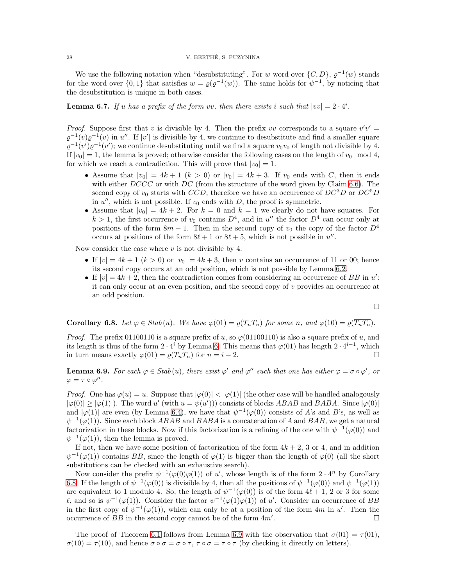### 28 V. BERTHE, S. PUZYNINA ´

We use the following notation when "desubstituting". For w word over  $\{C, D\}$ ,  $\varrho^{-1}(w)$  stands for the word over  $\{0,1\}$  that satisfies  $w = \varrho(\varrho^{-1}(w))$ . The same holds for  $\psi^{-1}$ , by noticing that the desubstitution is unique in both cases.

<span id="page-27-0"></span>**Lemma 6.7.** If u has a prefix of the form vv, then there exists i such that  $|vv| = 2 \cdot 4^i$ .

*Proof.* Suppose first that v is divisible by 4. Then the prefix vv corresponds to a square  $v'v' =$  $\varrho^{-1}(v)\varrho^{-1}(v)$  in u''. If  $|v'|$  is divisible by 4, we continue to desubstitute and find a smaller square  $\varrho^{-1}(v')\varrho^{-1}(v')$ ; we continue desubstituting until we find a square  $v_0v_0$  of length not divisible by 4. If  $|v_0| = 1$ , the lemma is proved; otherwise consider the following cases on the length of  $v_0 \mod 4$ , for which we reach a contradiction. This will prove that  $|v_0| = 1$ .

- Assume that  $|v_0| = 4k + 1$   $(k > 0)$  or  $|v_0| = 4k + 3$ . If  $v_0$  ends with C, then it ends with either  $DCCC$  or with  $DC$  (from the structure of the word given by Claim [6.6\)](#page-26-0). The second copy of  $v_0$  starts with CCD, therefore we have an occurrence of  $DC<sup>3</sup>D$  or  $DC<sup>5</sup>D$ in  $u''$ , which is not possible. If  $v_0$  ends with D, the proof is symmetric.
- Assume that  $|v_0| = 4k + 2$ . For  $k = 0$  and  $k = 1$  we clearly do not have squares. For  $k > 1$ , the first occurrence of  $v_0$  contains  $D<sup>4</sup>$ , and in u'' the factor  $D<sup>4</sup>$  can occur only at positions of the form  $8m - 1$ . Then in the second copy of  $v_0$  the copy of the factor  $D^4$ occurs at positions of the form  $8\ell + 1$  or  $8\ell + 5$ , which is not possible in  $u''$ .

Now consider the case where  $v$  is not divisible by 4.

- If  $|v| = 4k + 1$   $(k > 0)$  or  $|v_0| = 4k + 3$ , then v contains an occurrence of 11 or 00; hence its second copy occurs at an odd position, which is not possible by Lemma [6.2.](#page-25-1)
- If  $|v| = 4k + 2$ , then the contradiction comes from considering an occurrence of BB in u': it can only occur at an even position, and the second copy of v provides an occurrence at an odd position.

$$
\Box
$$

<span id="page-27-1"></span>**Corollary 6.8.** Let  $\varphi \in Stab(u)$ . We have  $\varphi(01) = \varrho(T_nT_n)$  for some n, and  $\varphi(10) = \varrho(T_nT_n)$ .

*Proof.* The prefix 01100110 is a square prefix of u, so  $\varphi$ (01100110) is also a square prefix of u, and its length is thus of the form  $2 \cdot 4^i$  by Lemma [6.](#page-27-0) This means that  $\varphi(01)$  has length  $2 \cdot 4^{i-1}$ , which in turn means exactly  $\varphi(01) = \varrho(T_n T_n)$  for  $n = i - 2$ .

<span id="page-27-2"></span>**Lemma 6.9.** For each  $\varphi \in Stab(u)$ , there exist  $\varphi'$  and  $\varphi''$  such that one has either  $\varphi = \sigma \circ \varphi'$ , or  $\varphi = \tau \circ \varphi''$ .

*Proof.* One has  $\varphi(u) = u$ . Suppose that  $|\varphi(0)| < |\varphi(1)|$  (the other case will be handled analogously  $|\varphi(0)| \ge |\varphi(1)|$ . The word u' (with  $u = \psi(u')$ ) consists of blocks ABAB and BABA. Since  $|\varphi(0)|$ and  $|\varphi(1)|$  are even (by Lemma [6.4\)](#page-25-2), we have that  $\psi^{-1}(\varphi(0))$  consists of A's and B's, as well as  $\psi^{-1}(\varphi(1))$ . Since each block ABAB and BABA is a concatenation of A and BAB, we get a natural factorization in these blocks. Now if this factorization is a refining of the one with  $\psi^{-1}(\varphi(0))$  and  $\psi^{-1}(\varphi(1))$ , then the lemma is proved.

If not, then we have some position of factorization of the form  $4k + 2$ , 3 or 4, and in addition  $\psi^{-1}(\varphi(1))$  contains BB, since the length of  $\varphi(1)$  is bigger than the length of  $\varphi(0)$  (all the short substitutions can be checked with an exhaustive search).

Now consider the prefix  $\psi^{-1}(\varphi(0)\varphi(1))$  of u', whose length is of the form  $2 \cdot 4^n$  by Corollary [6.8.](#page-27-1) If the length of  $\psi^{-1}(\varphi(0))$  is divisible by 4, then all the positions of  $\psi^{-1}(\varphi(0))$  and  $\psi^{-1}(\varphi(1))$ are equivalent to 1 modulo 4. So, the length of  $\psi^{-1}(\varphi(0))$  is of the form  $4\ell+1$ , 2 or 3 for some l, and so is  $\psi^{-1}(\varphi(1))$ . Consider the factor  $\psi^{-1}(\varphi(1)\varphi(1))$  of u'. Consider an occurrence of BB in the first copy of  $\psi^{-1}(\varphi(1))$ , which can only be at a position of the form 4m in u'. Then the occurrence of  $BB$  in the second copy cannot be of the form  $4m'$ . . В последните последните и производите на селото на селото на селото на селото на селото на селото на селото<br>В селото на селото на селото на селото на селото на селото на селото на селото на селото на селото на селото н

The proof of Theorem [6.1](#page-25-0) follows from Lemma [6.9](#page-27-2) with the observation that  $\sigma(01) = \tau(01)$ ,  $\sigma(10) = \tau(10)$ , and hence  $\sigma \circ \sigma = \sigma \circ \tau$ ,  $\tau \circ \sigma = \tau \circ \tau$  (by checking it directly on letters).